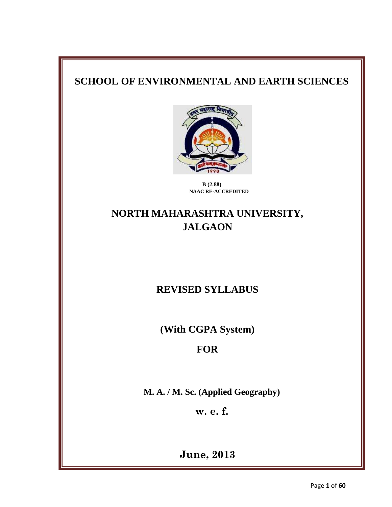# **SCHOOL OF ENVIRONMENTAL AND EARTH SCIENCES**



**B (2.88) NAAC RE-ACCREDITED**

# **NORTH MAHARASHTRA UNIVERSITY, JALGAON**

**REVISED SYLLABUS**

**(With CGPA System)**

# **FOR**

**M. A. / M. Sc. (Applied Geography)**

**w. e. f.**

**June, 2013**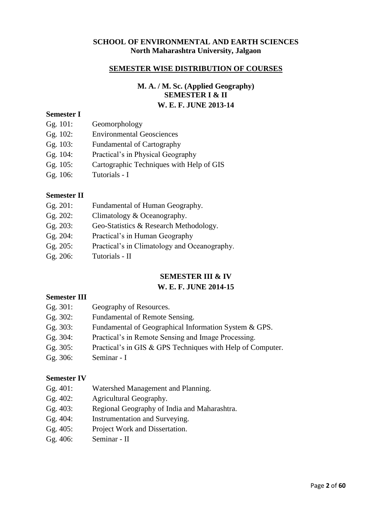#### **SCHOOL OF ENVIRONMENTAL AND EARTH SCIENCES North Maharashtra University, Jalgaon**

#### **SEMESTER WISE DISTRIBUTION OF COURSES**

### **M. A. / M. Sc. (Applied Geography) SEMESTER I & II W. E. F. JUNE 2013-14**

#### **Semester I**

- Gg. 101: Geomorphology
- Gg. 102: Environmental Geosciences
- Gg. 103: Fundamental of Cartography
- Gg. 104: Practical's in Physical Geography
- Gg. 105: Cartographic Techniques with Help of GIS
- Gg. 106: Tutorials I

#### **Semester II**

- Gg. 202: Climatology & Oceanography.
- Gg. 203: Geo-Statistics & Research Methodology.
- Gg. 204: Practical's in Human Geography
- Gg. 205: Practical's in Climatology and Oceanography.
- Gg. 206: Tutorials II

## **SEMESTER III & IV**

## **W. E. F. JUNE 2014-15**

#### **Semester III**

- Gg. 301: Geography of Resources. Gg. 302: Fundamental of Remote Sensing. Gg. 303: Fundamental of Geographical Information System & GPS. Gg. 304: Practical's in Remote Sensing and Image Processing. Gg. 305: Practical's in GIS & GPS Techniques with Help of Computer.
- Gg. 306: Seminar I

## **Semester IV**

- Gg. 401: Watershed Management and Planning.
- Gg. 402: Agricultural Geography.
- Gg. 403: Regional Geography of India and Maharashtra.
- Gg. 404: Instrumentation and Surveying.
- Gg. 405: Project Work and Dissertation.
- Gg. 406: Seminar II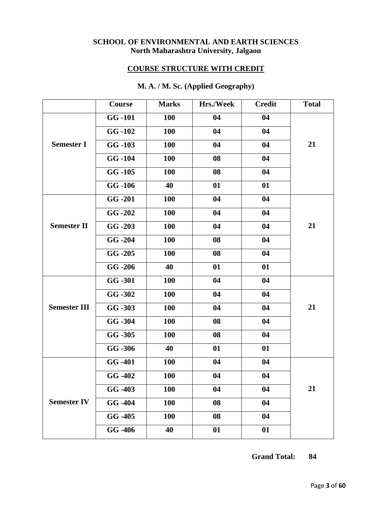#### **SCHOOL OF ENVIRONMENTAL AND EARTH SCIENCES North Maharashtra University, Jalgaon**

## **COURSE STRUCTURE WITH CREDIT**

|                     | Course        | <b>Marks</b> | Hrs./Week | <b>Credit</b> | <b>Total</b> |
|---------------------|---------------|--------------|-----------|---------------|--------------|
|                     | <b>GG-101</b> | <b>100</b>   | 04        | 04            |              |
|                     | GG-102        | <b>100</b>   | 04        | 04            |              |
| <b>Semester I</b>   | GG-103        | 100          | 04        | 04            | 21           |
|                     | <b>GG-104</b> | 100          | 08        | 04            |              |
|                     | $GG - 105$    | <b>100</b>   | 08        | 04            |              |
|                     | GG-106        | 40           | 01        | 01            |              |
|                     | <b>GG-201</b> | <b>100</b>   | 04        | 04            |              |
|                     | GG-202        | 100          | 04        | 04            |              |
| <b>Semester II</b>  | GG -203       | <b>100</b>   | 04        | 04            | 21           |
|                     | GG-204        | 100          | 08        | 04            |              |
|                     | $GG - 205$    | <b>100</b>   | 08        | 04            |              |
|                     | GG -206       | 40           | 01        | 01            |              |
|                     | GG -301       | 100          | 04        | 04            |              |
|                     | GG-302        | <b>100</b>   | 04        | 04            |              |
| <b>Semester III</b> | GG -303       | <b>100</b>   | 04        | 04            | 21           |
|                     | GG -304       | 100          | 08        | 04            |              |
|                     | GG -305       | 100          | 08        | 04            |              |
|                     | GG -306       | 40           | 01        | 01            |              |
|                     | GG -401       | <b>100</b>   | 04        | 04            |              |
|                     | GG -402       | <b>100</b>   | 04        | 04            |              |
|                     | GG -403       | <b>100</b>   | 04        | 04            | 21           |
| <b>Semester IV</b>  | GG -404       | <b>100</b>   | 08        | 04            |              |
|                     | GG -405       | 100          | 08        | 04            |              |
|                     | GG -406       | 40           | 01        | 01            |              |

## **M. A. / M. Sc. (Applied Geography)**

 **Grand Total: 84**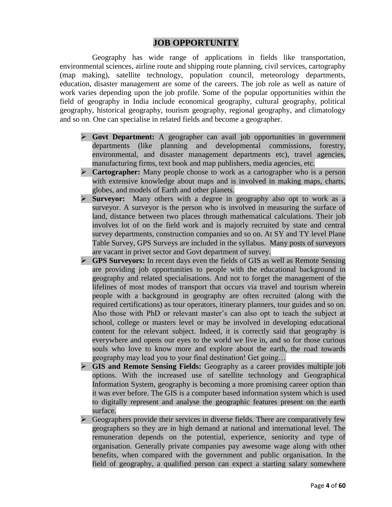## **JOB OPPORTUNITY**

Geography has wide range of applications in fields like transportation, environmental sciences, airline route and shipping route planning, civil services, cartography (map making), satellite technology, population council, meteorology departments, education, disaster management are some of the careers. The job role as well as nature of work varies depending upon the job profile. Some of the popular opportunities within the field of geography in India include economical geography, cultural geography, political geography, historical geography, tourism geography, regional geography, and climatology and so on. One can specialise in related fields and become a geographer.

- **Govt Department:** A geographer can avail job opportunities in government departments (like planning and developmental commissions, forestry, environmental, and disaster management departments etc), travel agencies, manufacturing firms, text book and map publishers, media agencies, etc.
- **Cartographer:** Many people choose to work as a cartographer who is a person with extensive knowledge about maps and is involved in making maps, charts, globes, and models of Earth and other planets.
- **Surveyor:** Many others with a degree in geography also opt to work as a surveyor. A surveyor is the person who is involved in measuring the surface of land, distance between two places through mathematical calculations. Their job involves lot of on the field work and is majorly recruited by state and central survey departments, construction companies and so on. At SY and TY level Plane Table Survey, GPS Surveys are included in the syllabus. Many posts of surveyors are vacant in privet sector and Govt department of survey.
- **GPS Surveyors:** In recent days even the fields of GIS as well as Remote Sensing are providing job opportunities to people with the educational background in geography and related specialisations. And not to forget the management of the lifelines of most modes of transport that occurs via travel and tourism wherein people with a background in geography are often recruited (along with the required certifications) as tour operators, itinerary planners, tour guides and so on. Also those with PhD or relevant master's can also opt to teach the subject at school, college or masters level or may be involved in developing educational content for the relevant subject. Indeed, it is correctly said that geography is everywhere and opens our eyes to the world we live in, and so for those curious souls who love to know more and explore about the earth, the road towards geography may lead you to your final destination! Get going…
- **GIS and Remote Sensing Fields:** Geography as a career provides multiple job options. With the increased use of satellite technology and Geographical Information System, geography is becoming a more promising career option than it was ever before. The GIS is a computer based information system which is used to digitally represent and analyse the geographic features present on the earth surface.
- $\triangleright$  Geographers provide their services in diverse fields. There are comparatively few geographers so they are in high demand at national and international level. The remuneration depends on the potential, experience, seniority and type of organisation. Generally private companies pay awesome wage along with other benefits, when compared with the government and public organisation. In the field of geography, a qualified person can expect a starting salary somewhere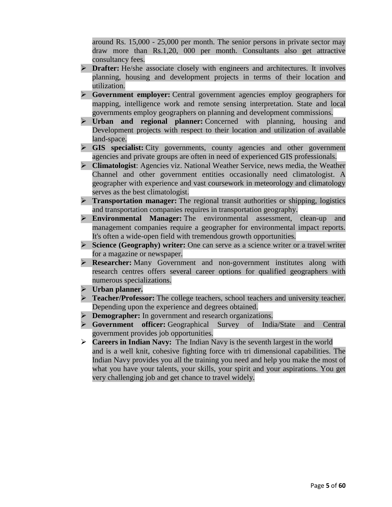around Rs. 15,000 - 25,000 per month. The senior persons in private sector may draw more than Rs.1,20, 000 per month. Consultants also get attractive consultancy fees.

- **Drafter:** He/she associate closely with engineers and architectures. It involves planning, housing and development projects in terms of their location and utilization.
- **Government employer:** Central government agencies employ geographers for mapping, intelligence work and remote sensing interpretation. State and local governments employ geographers on planning and development commissions.
- **Urban and regional planner:** Concerned with planning, housing and Development projects with respect to their location and utilization of available land-space.
- **GIS specialist:** City governments, county agencies and other government agencies and private groups are often in need of experienced GIS professionals.
- **Climatologist**: Agencies viz. National Weather Service, news media, the Weather Channel and other government entities occasionally need climatologist. A geographer with experience and vast coursework in meteorology and climatology serves as the best climatologist.
- **Transportation manager:** The regional transit authorities or shipping, logistics and transportation companies requires in transportation geography.
- **Environmental Manager:** The environmental assessment, clean-up and management companies require a geographer for environmental impact reports. It's often a wide-open field with tremendous growth opportunities.
- **Science (Geography) writer:** One can serve as a science writer or a travel writer for a magazine or newspaper.
- **Researcher:** Many Government and non-government institutes along with research centres offers several career options for qualified geographers with numerous specializations.
- **Urban planner.**
- **Teacher/Professor:** The college teachers, school teachers and university teacher. Depending upon the experience and degrees obtained.
- **Demographer:** In government and research organizations.
- **Government officer:** Geographical Survey of India/State and Central government provides job opportunities.
- **Careers in Indian Navy:** The Indian Navy is the seventh largest in the world and is a well knit, cohesive fighting force with tri dimensional capabilities. The Indian Navy provides you all the training you need and help you make the most of what you have your talents, your skills, your spirit and your aspirations. You get very challenging job and get chance to travel widely.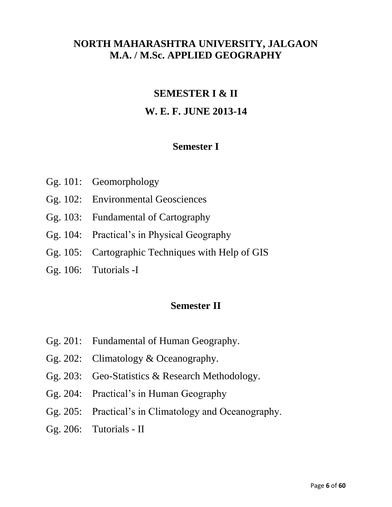# **NORTH MAHARASHTRA UNIVERSITY, JALGAON M.A. / M.Sc. APPLIED GEOGRAPHY**

# **SEMESTER I & II**

# **W. E. F. JUNE 2013-14**

# **Semester I**

- Gg. 101: Geomorphology
- Gg. 102: Environmental Geosciences
- Gg. 103: Fundamental of Cartography
- Gg. 104: Practical's in Physical Geography
- Gg. 105: Cartographic Techniques with Help of GIS
- Gg. 106: Tutorials -I

# **Semester II**

- Gg. 201: Fundamental of Human Geography.
- Gg. 202: Climatology & Oceanography.
- Gg. 203: Geo-Statistics & Research Methodology.
- Gg. 204: Practical's in Human Geography
- Gg. 205: Practical's in Climatology and Oceanography.
- Gg. 206: Tutorials II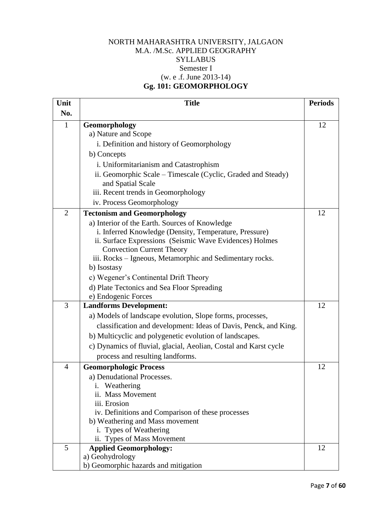## NORTH MAHARASHTRA UNIVERSITY, JALGAON M.A. /M.Sc. APPLIED GEOGRAPHY **SYLLABUS** Semester I (w. e .f. June 2013-14) **Gg. 101: GEOMORPHOLOGY**

| Unit           | <b>Title</b>                                                            | <b>Periods</b> |
|----------------|-------------------------------------------------------------------------|----------------|
| No.            |                                                                         |                |
| 1              | Geomorphology                                                           | 12             |
|                | a) Nature and Scope                                                     |                |
|                | i. Definition and history of Geomorphology                              |                |
|                | b) Concepts                                                             |                |
|                | i. Uniformitarianism and Catastrophism                                  |                |
|                | ii. Geomorphic Scale – Timescale (Cyclic, Graded and Steady)            |                |
|                | and Spatial Scale                                                       |                |
|                | iii. Recent trends in Geomorphology                                     |                |
|                | iv. Process Geomorphology                                               |                |
| $\overline{2}$ | <b>Tectonism and Geomorphology</b>                                      | 12             |
|                | a) Interior of the Earth. Sources of Knowledge                          |                |
|                | i. Inferred Knowledge (Density, Temperature, Pressure)                  |                |
|                | ii. Surface Expressions (Seismic Wave Evidences) Holmes                 |                |
|                | <b>Convection Current Theory</b>                                        |                |
|                | iii. Rocks - Igneous, Metamorphic and Sedimentary rocks.<br>b) Isostasy |                |
|                |                                                                         |                |
|                | c) Wegener's Continental Drift Theory                                   |                |
|                | d) Plate Tectonics and Sea Floor Spreading                              |                |
| 3              | e) Endogenic Forces                                                     | 12             |
|                | <b>Landforms Development:</b>                                           |                |
|                | a) Models of landscape evolution, Slope forms, processes,               |                |
|                | classification and development: Ideas of Davis, Penck, and King.        |                |
|                | b) Multicyclic and polygenetic evolution of landscapes.                 |                |
|                | c) Dynamics of fluvial, glacial, Aeolian, Costal and Karst cycle        |                |
|                | process and resulting landforms.                                        |                |
| $\overline{4}$ | <b>Geomorphologic Process</b>                                           | 12             |
|                | a) Denudational Processes.                                              |                |
|                | i. Weathering                                                           |                |
|                | ii. Mass Movement                                                       |                |
|                | iii. Erosion                                                            |                |
|                | iv. Definitions and Comparison of these processes                       |                |
|                | b) Weathering and Mass movement                                         |                |
|                | i. Types of Weathering                                                  |                |
|                | ii. Types of Mass Movement                                              |                |
| 5              | <b>Applied Geomorphology:</b>                                           | 12             |
|                | a) Geohydrology                                                         |                |
|                | b) Geomorphic hazards and mitigation                                    |                |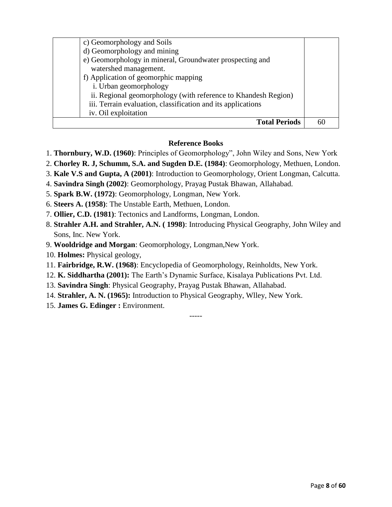| c) Geomorphology and Soils                                     |  |
|----------------------------------------------------------------|--|
| d) Geomorphology and mining                                    |  |
| e) Geomorphology in mineral, Groundwater prospecting and       |  |
| watershed management.                                          |  |
| f) Application of geomorphic mapping                           |  |
| i. Urban geomorphology                                         |  |
| ii. Regional geomorphology (with reference to Khandesh Region) |  |
| iii. Terrain evaluation, classification and its applications   |  |
| iv. Oil exploitation                                           |  |
| <b>Total Periods</b>                                           |  |

#### **Reference Books**

- 1. **Thornbury, W.D. (1960)**: Principles of Geomorphology", John Wiley and Sons, New York
- 2. **Chorley R. J, Schumm, S.A. and Sugden D.E. (1984)**: Geomorphology, Methuen, London.
- 3. **Kale V.S and Gupta, A (2001)**: Introduction to Geomorphology, Orient Longman, Calcutta.
- 4. **Savindra Singh (2002)**: Geomorphology, Prayag Pustak Bhawan, Allahabad.
- 5. **Spark B.W. (1972)**: Geomorphology, Longman, New York.
- 6. **Steers A. (1958)**: The Unstable Earth, Methuen, London.
- 7. **Ollier, C.D. (1981)**: Tectonics and Landforms, Longman, London.
- 8. **Strahler A.H. and Strahler, A.N. ( 1998)**: Introducing Physical Geography, John Wiley and Sons, Inc. New York.

-----

- 9. **Wooldridge and Morgan**: Geomorphology, Longman,New York.
- 10. **Holmes:** Physical geology,
- 11. **Fairbridge, R.W. (1968)**: Encyclopedia of Geomorphology, Reinholdts, New York.
- 12. **K. Siddhartha (2001):** The Earth's Dynamic Surface, Kisalaya Publications Pvt. Ltd.
- 13. **Savindra Singh**: Physical Geography, Prayag Pustak Bhawan, Allahabad.
- 14. **Strahler, A. N. (1965):** Introduction to Physical Geography, Wlley, New York.
- 15. **James G. Edinger :** Environment.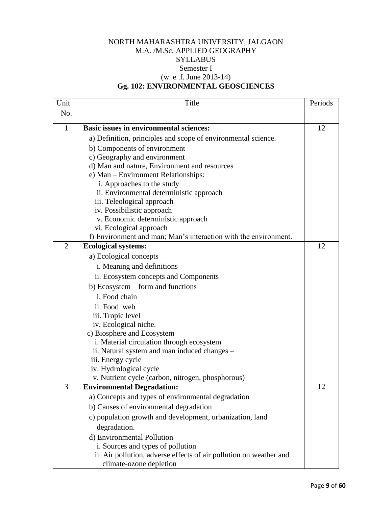## NORTH MAHARASHTRA UNIVERSITY, JALGAON M.A. /M.Sc. APPLIED GEOGRAPHY **SYLLABUS** Semester I (w. e .f. June 2013-14) **Gg. 102: ENVIRONMENTAL GEOSCIENCES**

| Unit           | Title                                                              | Periods |
|----------------|--------------------------------------------------------------------|---------|
| No.            |                                                                    |         |
| $\mathbf{1}$   | <b>Basic issues in environmental sciences:</b>                     | 12      |
|                | a) Definition, principles and scope of environmental science.      |         |
|                | b) Components of environment                                       |         |
|                | c) Geography and environment                                       |         |
|                | d) Man and nature, Environment and resources                       |         |
|                | e) Man - Environment Relationships:                                |         |
|                | i. Approaches to the study                                         |         |
|                | ii. Environmental deterministic approach                           |         |
|                | iii. Teleological approach                                         |         |
|                | iv. Possibilistic approach                                         |         |
|                | v. Economic deterministic approach                                 |         |
|                | vi. Ecological approach                                            |         |
|                | f) Environment and man; Man's interaction with the environment.    |         |
| $\overline{2}$ | <b>Ecological systems:</b>                                         | 12      |
|                | a) Ecological concepts                                             |         |
|                | i. Meaning and definitions                                         |         |
|                | ii. Ecosystem concepts and Components                              |         |
|                | b) Ecosystem – form and functions                                  |         |
|                | i. Food chain                                                      |         |
|                | ii. Food web                                                       |         |
|                | iii. Tropic level                                                  |         |
|                | iv. Ecological niche.                                              |         |
|                | c) Biosphere and Ecosystem                                         |         |
|                | i. Material circulation through ecosystem                          |         |
|                | ii. Natural system and man induced changes –                       |         |
|                | iii. Energy cycle                                                  |         |
|                | iv. Hydrological cycle                                             |         |
|                | v. Nutrient cycle (carbon, nitrogen, phosphorous)                  |         |
| 3              | <b>Environmental Degradation:</b>                                  | 12      |
|                | a) Concepts and types of environmental degradation                 |         |
|                | b) Causes of environmental degradation                             |         |
|                | c) population growth and development, urbanization, land           |         |
|                | degradation.                                                       |         |
|                | d) Environmental Pollution                                         |         |
|                | i. Sources and types of pollution                                  |         |
|                | ii. Air pollution, adverse effects of air pollution on weather and |         |
|                | climate-ozone depletion                                            |         |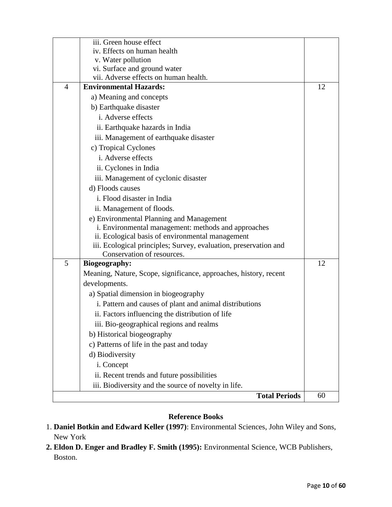|                | iii. Green house effect                                           |    |
|----------------|-------------------------------------------------------------------|----|
|                | iv. Effects on human health                                       |    |
|                | v. Water pollution                                                |    |
|                | vi. Surface and ground water                                      |    |
|                | vii. Adverse effects on human health.                             |    |
| $\overline{4}$ | <b>Environmental Hazards:</b>                                     | 12 |
|                | a) Meaning and concepts                                           |    |
|                | b) Earthquake disaster                                            |    |
|                | i. Adverse effects                                                |    |
|                | ii. Earthquake hazards in India                                   |    |
|                | iii. Management of earthquake disaster                            |    |
|                | c) Tropical Cyclones                                              |    |
|                | i. Adverse effects                                                |    |
|                | ii. Cyclones in India                                             |    |
|                | iii. Management of cyclonic disaster                              |    |
|                | d) Floods causes                                                  |    |
|                | i. Flood disaster in India                                        |    |
|                | ii. Management of floods.                                         |    |
|                | e) Environmental Planning and Management                          |    |
|                | i. Environmental management: methods and approaches               |    |
|                | ii. Ecological basis of environmental management                  |    |
|                | iii. Ecological principles; Survey, evaluation, preservation and  |    |
|                | Conservation of resources.                                        |    |
| 5              | <b>Biogeography:</b>                                              | 12 |
|                | Meaning, Nature, Scope, significance, approaches, history, recent |    |
|                | developments.                                                     |    |
|                | a) Spatial dimension in biogeography                              |    |
|                | i. Pattern and causes of plant and animal distributions           |    |
|                | ii. Factors influencing the distribution of life                  |    |
|                | iii. Bio-geographical regions and realms                          |    |
|                | b) Historical biogeography                                        |    |
|                | c) Patterns of life in the past and today                         |    |
|                | d) Biodiversity                                                   |    |
|                | i. Concept                                                        |    |
|                | ii. Recent trends and future possibilities                        |    |
|                | iii. Biodiversity and the source of novelty in life.              |    |
|                | <b>Total Periods</b>                                              | 60 |

## **Reference Books**

- 1. **Daniel Botkin and Edward Keller (1997)**: Environmental Sciences, John Wiley and Sons, New York
- **2. Eldon D. Enger and Bradley F. Smith (1995):** Environmental Science, WCB Publishers, Boston.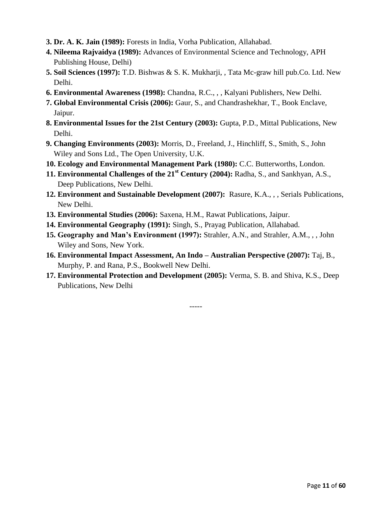- **3. Dr. A. K. Jain (1989):** Forests in India, Vorha Publication, Allahabad.
- **4. Nileema Rajvaidya (1989):** Advances of Environmental Science and Technology, APH Publishing House, Delhi)
- **5. Soil Sciences (1997):** T.D. Bishwas & S. K. Mukharji, , Tata Mc-graw hill pub.Co. Ltd. New Delhi.
- **6. Environmental Awareness (1998):** Chandna, R.C., , , Kalyani Publishers, New Delhi.
- **7. Global Environmental Crisis (2006):** Gaur, S., and Chandrashekhar, T., Book Enclave, Jaipur.
- **8. Environmental Issues for the 21st Century (2003):** Gupta, P.D., Mittal Publications, New Delhi.
- **9. Changing Environments (2003):** Morris, D., Freeland, J., Hinchliff, S., Smith, S., John Wiley and Sons Ltd., The Open University, U.K.
- **10. Ecology and Environmental Management Park (1980):** C.C. Butterworths, London.
- **11. Environmental Challenges of the 21st Century (2004):** Radha, S., and Sankhyan, A.S., Deep Publications, New Delhi.
- **12. Environment and Sustainable Development (2007):** Rasure, K.A., , , Serials Publications, New Delhi.
- **13. Environmental Studies (2006):** Saxena, H.M., Rawat Publications, Jaipur.
- **14. Environmental Geography (1991):** Singh, S., Prayag Publication, Allahabad.
- **15. Geography and Man's Environment (1997):** Strahler, A.N., and Strahler, A.M., , , John Wiley and Sons, New York.
- **16. Environmental Impact Assessment, An Indo – Australian Perspective (2007):** Taj, B., Murphy, P. and Rana, P.S., Bookwell New Delhi.
- **17. Environmental Protection and Development (2005):** Verma, S. B. and Shiva, K.S., Deep Publications, New Delhi

-----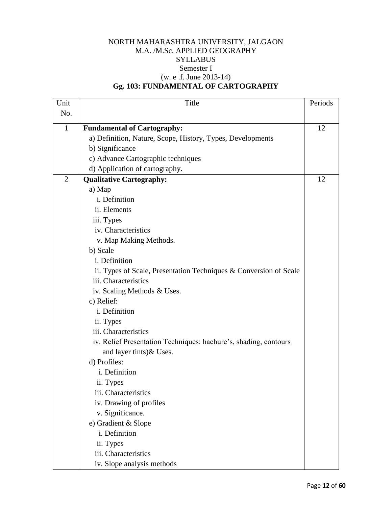## NORTH MAHARASHTRA UNIVERSITY, JALGAON M.A. /M.Sc. APPLIED GEOGRAPHY **SYLLABUS** Semester I (w. e .f. June 2013-14) **Gg. 103: FUNDAMENTAL OF CARTOGRAPHY**

| Unit           | Title                                                             | Periods |
|----------------|-------------------------------------------------------------------|---------|
| No.            |                                                                   |         |
| $\mathbf{1}$   | <b>Fundamental of Cartography:</b>                                | 12      |
|                | a) Definition, Nature, Scope, History, Types, Developments        |         |
|                | b) Significance                                                   |         |
|                | c) Advance Cartographic techniques                                |         |
|                | d) Application of cartography.                                    |         |
| $\overline{2}$ | <b>Qualitative Cartography:</b>                                   | 12      |
|                | a) Map                                                            |         |
|                | i. Definition                                                     |         |
|                | ii. Elements                                                      |         |
|                | iii. Types                                                        |         |
|                | iv. Characteristics                                               |         |
|                | v. Map Making Methods.                                            |         |
|                | b) Scale                                                          |         |
|                | i. Definition                                                     |         |
|                | ii. Types of Scale, Presentation Techniques & Conversion of Scale |         |
|                | iii. Characteristics                                              |         |
|                | iv. Scaling Methods & Uses.                                       |         |
|                | c) Relief:                                                        |         |
|                | i. Definition                                                     |         |
|                | ii. Types                                                         |         |
|                | iii. Characteristics                                              |         |
|                | iv. Relief Presentation Techniques: hachure's, shading, contours  |         |
|                | and layer tints) & Uses.                                          |         |
|                | d) Profiles:                                                      |         |
|                | i. Definition                                                     |         |
|                | ii. Types                                                         |         |
|                | iii. Characteristics                                              |         |
|                | iv. Drawing of profiles                                           |         |
|                | v. Significance.                                                  |         |
|                | e) Gradient & Slope                                               |         |
|                | i. Definition                                                     |         |
|                | ii. Types                                                         |         |
|                | iii. Characteristics                                              |         |
|                | iv. Slope analysis methods                                        |         |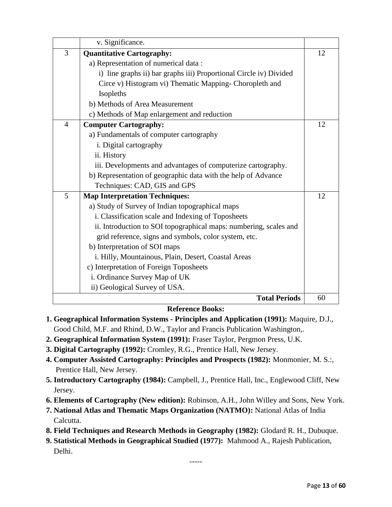|                | v. Significance.                                                   |    |
|----------------|--------------------------------------------------------------------|----|
| 3              | <b>Quantitative Cartography:</b>                                   | 12 |
|                | a) Representation of numerical data:                               |    |
|                | i) line graphs ii) bar graphs iii) Proportional Circle iv) Divided |    |
|                | Circe v) Histogram vi) Thematic Mapping- Choropleth and            |    |
|                | Isopleths                                                          |    |
|                | b) Methods of Area Measurement                                     |    |
|                | c) Methods of Map enlargement and reduction                        |    |
| $\overline{4}$ | <b>Computer Cartography:</b>                                       | 12 |
|                | a) Fundamentals of computer cartography                            |    |
|                | i. Digital cartography                                             |    |
|                | ii. History                                                        |    |
|                | iii. Developments and advantages of computerize cartography.       |    |
|                | b) Representation of geographic data with the help of Advance      |    |
|                | Techniques: CAD, GIS and GPS                                       |    |
| 5              | <b>Map Interpretation Techniques:</b>                              | 12 |
|                | a) Study of Survey of Indian topographical maps                    |    |
|                | i. Classification scale and Indexing of Toposheets                 |    |
|                | ii. Introduction to SOI topographical maps: numbering, scales and  |    |
|                | grid reference, signs and symbols, color system, etc.              |    |
|                | b) Interpretation of SOI maps                                      |    |
|                | i. Hilly, Mountainous, Plain, Desert, Coastal Areas                |    |
|                | c) Interpretation of Foreign Toposheets                            |    |
|                | i. Ordinance Survey Map of UK                                      |    |
|                | ii) Geological Survey of USA.                                      |    |
|                | <b>Total Periods</b>                                               | 60 |

## **Reference Books:**

- **1. Geographical Information Systems - Principles and Application (1991):** Maquire, D.J., Good Child, M.F. and Rhind, D.W., Taylor and Francis Publication Washington,.
- **2. Geographical Information System (1991):** Fraser Taylor, Pergmon Press, U.K.
- **3. Digital Cartography (1992):** Cromley, R.G., Prentice Hall, New Jersey.
- **4. Computer Assisted Cartography: Principles and Prospects (1982):** Monmonier, M. S.:, Prentice Hall, New Jersey.
- **5. Introductory Cartography (1984):** Campbell, J., Prentice Hall, Inc., Englewood Cliff, New Jersey.
- **6. Elements of Cartography (New edition):** Robinson, A.H., John Willey and Sons, New York.
- **7. National Atlas and Thematic Maps Organization (NATMO):** National Atlas of India Calcutta.
- **8. Field Techniques and Research Methods in Geography (1982):** Glodard R. H., Dubuque.
- **9. Statistical Methods in Geographical Studied (1977):** Mahmood A., Rajesh Publication, Delhi.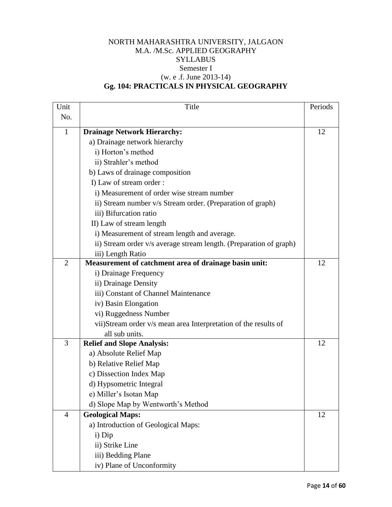## NORTH MAHARASHTRA UNIVERSITY, JALGAON M.A. /M.Sc. APPLIED GEOGRAPHY **SYLLABUS** Semester I (w. e .f. June 2013-14) **Gg. 104: PRACTICALS IN PHYSICAL GEOGRAPHY**

| Unit           | Title                                                              | Periods |
|----------------|--------------------------------------------------------------------|---------|
| No.            |                                                                    |         |
| $\mathbf{1}$   | <b>Drainage Network Hierarchy:</b>                                 | 12      |
|                | a) Drainage network hierarchy                                      |         |
|                | i) Horton's method                                                 |         |
|                | ii) Strahler's method                                              |         |
|                | b) Laws of drainage composition                                    |         |
|                | I) Law of stream order :                                           |         |
|                | i) Measurement of order wise stream number                         |         |
|                | ii) Stream number v/s Stream order. (Preparation of graph)         |         |
|                | iii) Bifurcation ratio                                             |         |
|                | II) Law of stream length                                           |         |
|                | i) Measurement of stream length and average.                       |         |
|                | ii) Stream order v/s average stream length. (Preparation of graph) |         |
|                | iii) Length Ratio                                                  |         |
| $\overline{2}$ | Measurement of catchment area of drainage basin unit:              | 12      |
|                | i) Drainage Frequency                                              |         |
|                | ii) Drainage Density                                               |         |
|                | iii) Constant of Channel Maintenance                               |         |
|                | iv) Basin Elongation                                               |         |
|                | vi) Ruggedness Number                                              |         |
|                | vii)Stream order v/s mean area Interpretation of the results of    |         |
|                | all sub units.                                                     |         |
| 3              | <b>Relief and Slope Analysis:</b>                                  | 12      |
|                | a) Absolute Relief Map                                             |         |
|                | b) Relative Relief Map                                             |         |
|                | c) Dissection Index Map                                            |         |
|                | d) Hypsometric Integral                                            |         |
|                | e) Miller's Isotan Map                                             |         |
|                | d) Slope Map by Wentworth's Method                                 |         |
| 4              | <b>Geological Maps:</b>                                            | 12      |
|                | a) Introduction of Geological Maps:                                |         |
|                | i) Dip                                                             |         |
|                | ii) Strike Line                                                    |         |
|                | iii) Bedding Plane                                                 |         |
|                | iv) Plane of Unconformity                                          |         |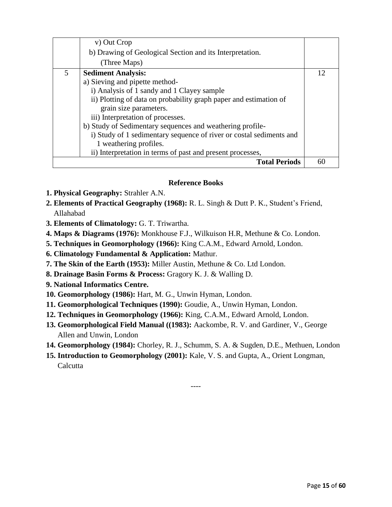|   | v) Out Crop                                                         |    |
|---|---------------------------------------------------------------------|----|
|   | b) Drawing of Geological Section and its Interpretation.            |    |
|   | (Three Maps)                                                        |    |
| 5 | <b>Sediment Analysis:</b>                                           | 12 |
|   | a) Sieving and pipette method-                                      |    |
|   | i) Analysis of 1 sandy and 1 Clayey sample                          |    |
|   | ii) Plotting of data on probability graph paper and estimation of   |    |
|   | grain size parameters.                                              |    |
|   | iii) Interpretation of processes.                                   |    |
|   | b) Study of Sedimentary sequences and weathering profile-           |    |
|   | i) Study of 1 sedimentary sequence of river or costal sediments and |    |
|   | 1 weathering profiles.                                              |    |
|   | ii) Interpretation in terms of past and present processes,          |    |
|   | <b>Total Periods</b>                                                | 60 |

#### **Reference Books**

- **1. Physical Geography:** Strahler A.N.
- **2. Elements of Practical Geography (1968):** R. L. Singh & Dutt P. K., Student's Friend, Allahabad
- **3. Elements of Climatology:** G. T. Triwartha.
- **4. Maps & Diagrams (1976):** Monkhouse F.J., Wilkuison H.R, Methune & Co. London.
- **5. Techniques in Geomorphology (1966):** King C.A.M., Edward Arnold, London.
- **6. Climatology Fundamental & Application:** Mathur.
- **7. The Skin of the Earth (1953):** Miller Austin, Methune & Co. Ltd London.
- **8. Drainage Basin Forms & Process:** Gragory K. J. & Walling D.
- **9. National Informatics Centre.**
- **10. Geomorphology (1986):** Hart, M. G., Unwin Hyman, London.
- **11. Geomorphological Techniques (1990):** Goudie, A., Unwin Hyman, London.
- **12. Techniques in Geomorphology (1966):** King, C.A.M., Edward Arnold, London.
- **13. Geomorphological Field Manual ((1983):** Aackombe, R. V. and Gardiner, V., George Allen and Unwin, London
- **14. Geomorphology (1984):** Chorley, R. J., Schumm, S. A. & Sugden, D.E., Methuen, London

----

**15. Introduction to Geomorphology (2001):** Kale, V. S. and Gupta, A., Orient Longman, **Calcutta**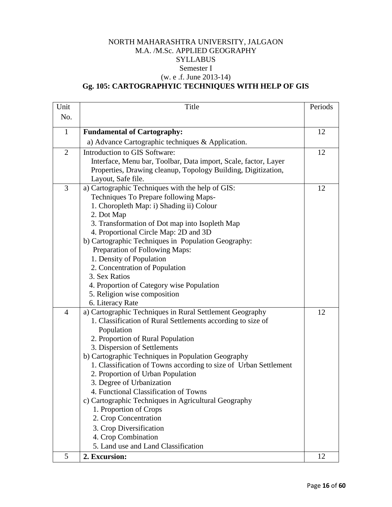## NORTH MAHARASHTRA UNIVERSITY, JALGAON M.A. /M.Sc. APPLIED GEOGRAPHY **SYLLABUS** Semester I (w. e .f. June 2013-14) **Gg. 105: CARTOGRAPHYIC TECHNIQUES WITH HELP OF GIS**

| Unit           | Title                                                            | Periods |
|----------------|------------------------------------------------------------------|---------|
| No.            |                                                                  |         |
|                |                                                                  |         |
| $\mathbf{1}$   | <b>Fundamental of Cartography:</b>                               | 12      |
|                | a) Advance Cartographic techniques & Application.                |         |
| $\overline{2}$ | Introduction to GIS Software:                                    | 12      |
|                | Interface, Menu bar, Toolbar, Data import, Scale, factor, Layer  |         |
|                | Properties, Drawing cleanup, Topology Building, Digitization,    |         |
|                | Layout, Safe file.                                               |         |
| 3              | a) Cartographic Techniques with the help of GIS:                 | 12      |
|                | Techniques To Prepare following Maps-                            |         |
|                | 1. Choropleth Map: i) Shading ii) Colour                         |         |
|                | 2. Dot Map                                                       |         |
|                | 3. Transformation of Dot map into Isopleth Map                   |         |
|                | 4. Proportional Circle Map: 2D and 3D                            |         |
|                | b) Cartographic Techniques in Population Geography:              |         |
|                | Preparation of Following Maps:                                   |         |
|                | 1. Density of Population                                         |         |
|                | 2. Concentration of Population                                   |         |
|                | 3. Sex Ratios                                                    |         |
|                | 4. Proportion of Category wise Population                        |         |
|                | 5. Religion wise composition                                     |         |
|                | 6. Literacy Rate                                                 |         |
| $\overline{4}$ | a) Cartographic Techniques in Rural Settlement Geography         | 12      |
|                | 1. Classification of Rural Settlements according to size of      |         |
|                | Population                                                       |         |
|                | 2. Proportion of Rural Population                                |         |
|                | 3. Dispersion of Settlements                                     |         |
|                | b) Cartographic Techniques in Population Geography               |         |
|                | 1. Classification of Towns according to size of Urban Settlement |         |
|                | 2. Proportion of Urban Population                                |         |
|                | 3. Degree of Urbanization                                        |         |
|                | 4. Functional Classification of Towns                            |         |
|                | c) Cartographic Techniques in Agricultural Geography             |         |
|                | 1. Proportion of Crops                                           |         |
|                | 2. Crop Concentration                                            |         |
|                | 3. Crop Diversification                                          |         |
|                | 4. Crop Combination                                              |         |
|                | 5. Land use and Land Classification                              |         |
| 5              | 2. Excursion:                                                    | 12      |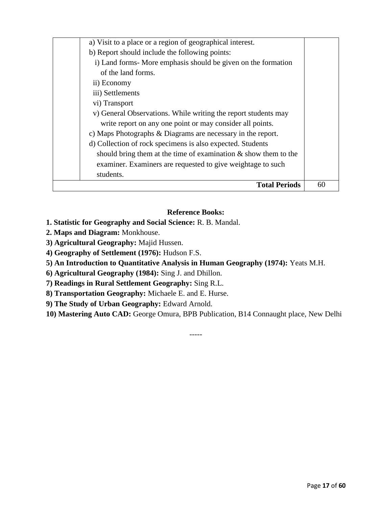| a) Visit to a place or a region of geographical interest.          |    |
|--------------------------------------------------------------------|----|
| b) Report should include the following points:                     |    |
| i) Land forms- More emphasis should be given on the formation      |    |
| of the land forms.                                                 |    |
| ii) Economy                                                        |    |
| iii) Settlements                                                   |    |
| vi) Transport                                                      |    |
| v) General Observations. While writing the report students may     |    |
| write report on any one point or may consider all points.          |    |
| c) Maps Photographs & Diagrams are necessary in the report.        |    |
| d) Collection of rock specimens is also expected. Students         |    |
| should bring them at the time of examination $\&$ show them to the |    |
| examiner. Examiners are requested to give weightage to such        |    |
| students.                                                          |    |
| <b>Total Periods</b>                                               | 60 |

#### **Reference Books:**

- **1. Statistic for Geography and Social Science:** R. B. Mandal.
- **2. Maps and Diagram:** Monkhouse.
- **3) Agricultural Geography:** Majid Hussen.
- **4) Geography of Settlement (1976):** Hudson F.S.
- **5) An Introduction to Quantitative Analysis in Human Geography (1974):** Yeats M.H.

**6) Agricultural Geography (1984):** Sing J. and Dhillon.

**7) Readings in Rural Settlement Geography:** Sing R.L.

**8) Transportation Geography:** Michaele E. and E. Hurse.

**9) The Study of Urban Geography:** Edward Arnold.

**10) Mastering Auto CAD:** George Omura, BPB Publication, B14 Connaught place, New Delhi

-----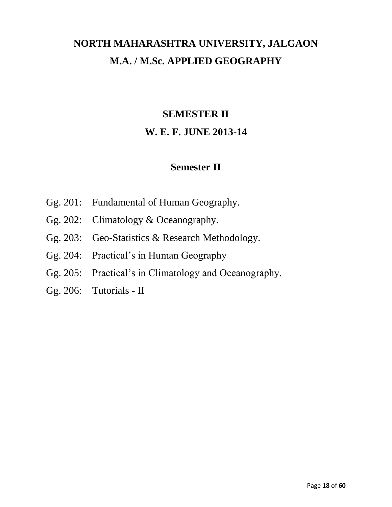# **NORTH MAHARASHTRA UNIVERSITY, JALGAON M.A. / M.Sc. APPLIED GEOGRAPHY**

# **SEMESTER II**

# **W. E. F. JUNE 2013-14**

# **Semester II**

- Gg. 201: Fundamental of Human Geography.
- Gg. 202: Climatology & Oceanography.
- Gg. 203: Geo-Statistics & Research Methodology.
- Gg. 204: Practical's in Human Geography
- Gg. 205: Practical's in Climatology and Oceanography.
- Gg. 206: Tutorials II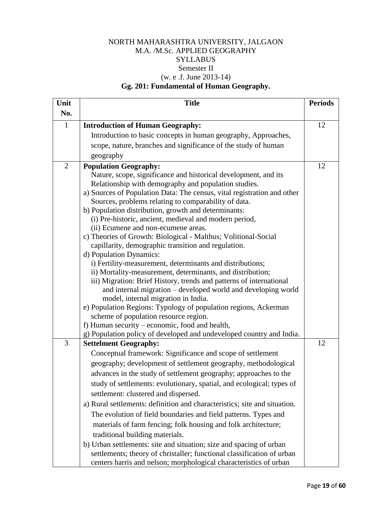## NORTH MAHARASHTRA UNIVERSITY, JALGAON M.A. /M.Sc. APPLIED GEOGRAPHY **SYLLABUS** Semester II (w. e .f. June 2013-14) **Gg. 201: Fundamental of Human Geography.**

| Unit           | <b>Title</b>                                                                   | <b>Periods</b> |
|----------------|--------------------------------------------------------------------------------|----------------|
| No.            |                                                                                |                |
| $\mathbf{1}$   | <b>Introduction of Human Geography:</b>                                        | 12             |
|                | Introduction to basic concepts in human geography, Approaches,                 |                |
|                | scope, nature, branches and significance of the study of human                 |                |
|                | geography                                                                      |                |
| $\overline{2}$ | <b>Population Geography:</b>                                                   | 12             |
|                | Nature, scope, significance and historical development, and its                |                |
|                | Relationship with demography and population studies.                           |                |
|                | a) Sources of Population Data: The census, vital registration and other        |                |
|                | Sources, problems relating to comparability of data.                           |                |
|                | b) Population distribution, growth and determinants:                           |                |
|                | (i) Pre-historic, ancient, medieval and modern period,                         |                |
|                | (ii) Ecumene and non-ecumene areas.                                            |                |
|                | c) Theories of Growth: Biological - Malthus; Volitional-Social                 |                |
|                | capillarity, demographic transition and regulation.<br>d) Population Dynamics: |                |
|                | i) Fertility-measurement, determinants and distributions;                      |                |
|                | ii) Mortality-measurement, determinants, and distribution;                     |                |
|                | iii) Migration: Brief History, trends and patterns of international            |                |
|                | and internal migration - developed world and developing world                  |                |
|                | model, internal migration in India.                                            |                |
|                | e) Population Regions: Typology of population regions, Ackerman                |                |
|                | scheme of population resource region.                                          |                |
|                | f) Human security – economic, food and health,                                 |                |
|                | g) Population policy of developed and undeveloped country and India.           |                |
| 3              | <b>Settelment Geography:</b>                                                   | 12             |
|                | Conceptual framework: Significance and scope of settlement                     |                |
|                | geography; development of settlement geography, methodological                 |                |
|                | advances in the study of settlement geography; approaches to the               |                |
|                | study of settlements: evolutionary, spatial, and ecological; types of          |                |
|                | settlement: clustered and dispersed.                                           |                |
|                | a) Rural settlements: definition and characteristics; site and situation.      |                |
|                | The evolution of field boundaries and field patterns. Types and                |                |
|                | materials of farm fencing; folk housing and folk architecture;                 |                |
|                | traditional building materials.                                                |                |
|                | b) Urban settlements: site and situation; size and spacing of urban            |                |
|                | settlements; theory of christaller; functional classification of urban         |                |
|                | centers harris and nelson; morphological characteristics of urban              |                |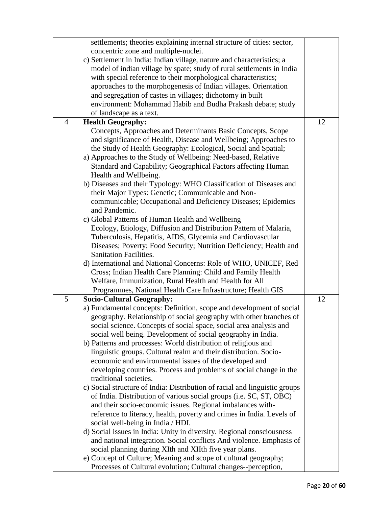|                | settlements; theories explaining internal structure of cities: sector,     |    |
|----------------|----------------------------------------------------------------------------|----|
|                | concentric zone and multiple-nuclei.                                       |    |
|                | c) Settlement in India: Indian village, nature and characteristics; a      |    |
|                | model of indian village by spate; study of rural settlements in India      |    |
|                | with special reference to their morphological characteristics;             |    |
|                | approaches to the morphogenesis of Indian villages. Orientation            |    |
|                | and segregation of castes in villages; dichotomy in built                  |    |
|                | environment: Mohammad Habib and Budha Prakash debate; study                |    |
|                | of landscape as a text.                                                    |    |
| $\overline{4}$ | <b>Health Geography:</b>                                                   | 12 |
|                | Concepts, Approaches and Determinants Basic Concepts, Scope                |    |
|                | and significance of Health, Disease and Wellbeing; Approaches to           |    |
|                | the Study of Health Geography: Ecological, Social and Spatial;             |    |
|                | a) Approaches to the Study of Wellbeing: Need-based, Relative              |    |
|                | Standard and Capability; Geographical Factors affecting Human              |    |
|                | Health and Wellbeing.                                                      |    |
|                | b) Diseases and their Typology: WHO Classification of Diseases and         |    |
|                | their Major Types: Genetic; Communicable and Non-                          |    |
|                | communicable; Occupational and Deficiency Diseases; Epidemics              |    |
|                | and Pandemic.                                                              |    |
|                |                                                                            |    |
|                | c) Global Patterns of Human Health and Wellbeing                           |    |
|                | Ecology, Etiology, Diffusion and Distribution Pattern of Malaria,          |    |
|                | Tuberculosis, Hepatitis, AIDS, Glycemia and Cardiovascular                 |    |
|                | Diseases; Poverty; Food Security; Nutrition Deficiency; Health and         |    |
|                | <b>Sanitation Facilities.</b>                                              |    |
|                | d) International and National Concerns: Role of WHO, UNICEF, Red           |    |
|                | Cross; Indian Health Care Planning: Child and Family Health                |    |
|                | Welfare, Immunization, Rural Health and Health for All                     |    |
|                | Programmes, National Health Care Infrastructure; Health GIS                |    |
| 5              | <b>Socio-Cultural Geography:</b>                                           | 12 |
|                | a) Fundamental concepts: Definition, scope and development of social       |    |
|                | geography. Relationship of social geography with other branches of         |    |
|                | social science. Concepts of social space, social area analysis and         |    |
|                | social well being. Development of social geography in India.               |    |
|                | b) Patterns and processes: World distribution of religious and             |    |
|                | linguistic groups. Cultural realm and their distribution. Socio-           |    |
|                | economic and environmental issues of the developed and                     |    |
|                | developing countries. Process and problems of social change in the         |    |
|                | traditional societies.                                                     |    |
|                | c) Social structure of India: Distribution of racial and linguistic groups |    |
|                | of India. Distribution of various social groups (i.e. SC, ST, OBC)         |    |
|                | and their socio-economic issues. Regional imbalances with-                 |    |
|                | reference to literacy, health, poverty and crimes in India. Levels of      |    |
|                | social well-being in India / HDI.                                          |    |
|                | d) Social issues in India: Unity in diversity. Regional consciousness      |    |
|                |                                                                            |    |
|                | and national integration. Social conflicts And violence. Emphasis of       |    |
|                | social planning during XIth and XIIth five year plans.                     |    |
|                | e) Concept of Culture; Meaning and scope of cultural geography;            |    |
|                | Processes of Cultural evolution; Cultural changes--perception,             |    |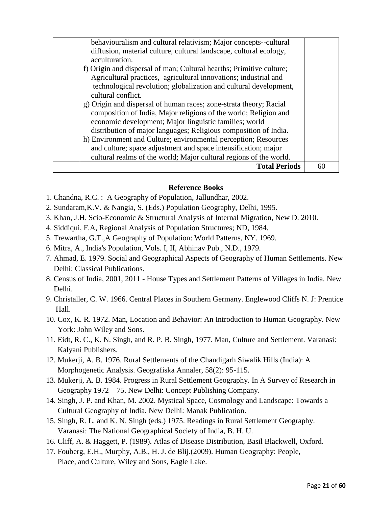| behaviouralism and cultural relativism; Major concepts--cultural     |    |
|----------------------------------------------------------------------|----|
| diffusion, material culture, cultural landscape, cultural ecology,   |    |
| acculturation.                                                       |    |
| f) Origin and dispersal of man; Cultural hearths; Primitive culture; |    |
| Agricultural practices, agricultural innovations; industrial and     |    |
| technological revolution; globalization and cultural development,    |    |
| cultural conflict.                                                   |    |
| g) Origin and dispersal of human races; zone-strata theory; Racial   |    |
| composition of India, Major religions of the world; Religion and     |    |
| economic development; Major linguistic families; world               |    |
| distribution of major languages; Religious composition of India.     |    |
| h) Environment and Culture; environmental perception; Resources      |    |
| and culture; space adjustment and space intensification; major       |    |
| cultural realms of the world; Major cultural regions of the world.   |    |
| <b>Total Periods</b>                                                 | 60 |

#### **Reference Books**

- 1. Chandna, R.C. : A Geography of Population, Jallundhar, 2002.
- 2. Sundaram,K.V. & Nangia, S. (Eds.) Population Geography, Delhi, 1995.
- 3. Khan, J.H. Scio-Economic & Structural Analysis of Internal Migration, New D. 2010.
- 4. Siddiqui, F.A, Regional Analysis of Population Structures; ND, 1984.
- 5. Trewartha, G.T.,A Geography of Population: World Patterns, NY. 1969.
- 6. Mitra, A., India's Population, Vols. I, II, Abhinav Pub., N.D., 1979.
- 7. Ahmad, E. 1979. Social and Geographical Aspects of Geography of Human Settlements. New Delhi: Classical Publications.
- 8. Census of India, 2001, 2011 House Types and Settlement Patterns of Villages in India. New Delhi.
- 9. Christaller, C. W. 1966. Central Places in Southern Germany. Englewood Cliffs N. J: Prentice Hall.
- 10. Cox, K. R. 1972. Man, Location and Behavior: An Introduction to Human Geography. New York: John Wiley and Sons.
- 11. Eidt, R. C., K. N. Singh, and R. P. B. Singh, 1977. Man, Culture and Settlement. Varanasi: Kalyani Publishers.
- 12. Mukerji, A. B. 1976. Rural Settlements of the Chandigarh Siwalik Hills (India): A Morphogenetic Analysis. Geografiska Annaler, 58(2): 95-115.
- 13. Mukerji, A. B. 1984. Progress in Rural Settlement Geography. In A Survey of Research in Geography 1972 – 75. New Delhi: Concept Publishing Company.
- 14. Singh, J. P. and Khan, M. 2002. Mystical Space, Cosmology and Landscape: Towards a Cultural Geography of India. New Delhi: Manak Publication.
- 15. Singh, R. L. and K. N. Singh (eds.) 1975. Readings in Rural Settlement Geography. Varanasi: The National Geographical Society of India, B. H. U.
- 16. Cliff, A. & Haggett, P. (1989). Atlas of Disease Distribution, Basil Blackwell, Oxford.
- 17. Fouberg, E.H., Murphy, A.B., H. J. de Blij.(2009). Human Geography: People, Place, and Culture, Wiley and Sons, Eagle Lake.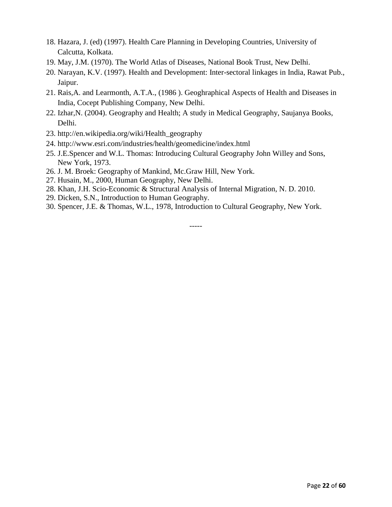- 18. Hazara, J. (ed) (1997). Health Care Planning in Developing Countries, University of Calcutta, Kolkata.
- 19. May, J.M. (1970). The World Atlas of Diseases, National Book Trust, New Delhi.
- 20. Narayan, K.V. (1997). Health and Development: Inter-sectoral linkages in India, Rawat Pub., Jaipur.
- 21. Rais,A. and Learmonth, A.T.A., (1986 ). Geoghraphical Aspects of Health and Diseases in India, Cocept Publishing Company, New Delhi.
- 22. Izhar,N. (2004). Geography and Health; A study in Medical Geography, Saujanya Books, Delhi.
- 23. http://en.wikipedia.org/wiki/Health\_geography
- 24. http://www.esri.com/industries/health/geomedicine/index.html
- 25. J.E.Spencer and W.L. Thomas: Introducing Cultural Geography John Willey and Sons, New York, 1973.
- 26. J. M. Broek: Geography of Mankind, Mc.Graw Hill, New York.
- 27. Husain, M., 2000, Human Geography, New Delhi.
- 28. Khan, J.H. Scio-Economic & Structural Analysis of Internal Migration, N. D. 2010.
- 29. Dicken, S.N., Introduction to Human Geography.
- 30. Spencer, J.E. & Thomas, W.L., 1978, Introduction to Cultural Geography, New York.

-----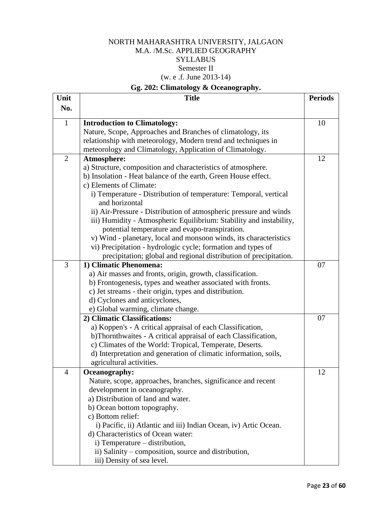## NORTH MAHARASHTRA UNIVERSITY, JALGAON M.A. /M.Sc. APPLIED GEOGRAPHY **SYLLABUS** Semester II (w. e .f. June 2013-14)

## **Gg. 202: Climatology & Oceanography.**

| Unit           | <b>Title</b>                                                        | <b>Periods</b> |
|----------------|---------------------------------------------------------------------|----------------|
| No.            |                                                                     |                |
| $\mathbf{1}$   | <b>Introduction to Climatology:</b>                                 | 10             |
|                | Nature, Scope, Approaches and Branches of climatology, its          |                |
|                | relationship with meteorology, Modern trend and techniques in       |                |
|                | meteorology and Climatology, Application of Climatology.            |                |
| $\overline{2}$ | Atmosphere:                                                         | 12             |
|                | a) Structure, composition and characteristics of atmosphere.        |                |
|                | b) Insolation - Heat balance of the earth, Green House effect.      |                |
|                | c) Elements of Climate:                                             |                |
|                | i) Temperature - Distribution of temperature: Temporal, vertical    |                |
|                | and horizontal                                                      |                |
|                | ii) Air-Pressure - Distribution of atmospheric pressure and winds   |                |
|                | iii) Humidity - Atmospheric Equilibrium: Stability and instability, |                |
|                | potential temperature and evapo-transpiration.                      |                |
|                | v) Wind - planetary, local and monsoon winds, its characteristics   |                |
|                | vi) Precipitation - hydrologic cycle; formation and types of        |                |
|                | precipitation; global and regional distribution of precipitation.   |                |
| 3              | 1) Climatic Phenomena:                                              | 07             |
|                | a) Air masses and fronts, origin, growth, classification.           |                |
|                | b) Frontogenesis, types and weather associated with fronts.         |                |
|                | c) Jet streams - their origin, types and distribution.              |                |
|                | d) Cyclones and anticyclones,                                       |                |
|                | e) Global warming, climate change.                                  |                |
|                | 2) Climatic Classifications:                                        | 07             |
|                | a) Koppen's - A critical appraisal of each Classification,          |                |
|                | b)Thornthwaites - A critical appraisal of each Classification,      |                |
|                | c) Climates of the World: Tropical, Temperate, Deserts.             |                |
|                | d) Interpretation and generation of climatic information, soils,    |                |
|                | agricultural activities.                                            |                |
| $\overline{4}$ | Oceanography:                                                       | 12             |
|                | Nature, scope, approaches, branches, significance and recent        |                |
|                | development in oceanography.                                        |                |
|                | a) Distribution of land and water.                                  |                |
|                | b) Ocean bottom topography.                                         |                |
|                | c) Bottom relief:                                                   |                |
|                | i) Pacific, ii) Atlantic and iii) Indian Ocean, iv) Artic Ocean.    |                |
|                | d) Characteristics of Ocean water:                                  |                |
|                | i) Temperature – distribution,                                      |                |
|                | ii) Salinity – composition, source and distribution,                |                |
|                | iii) Density of sea level.                                          |                |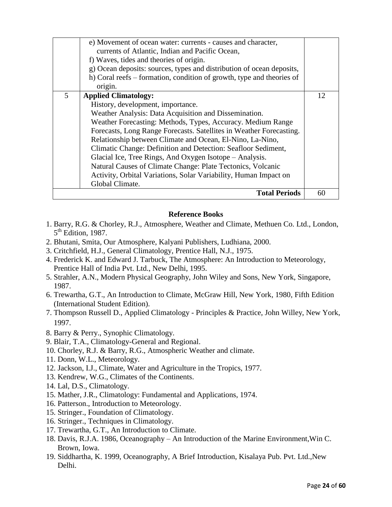|   | e) Movement of ocean water: currents - causes and character,<br>currents of Atlantic, Indian and Pacific Ocean,<br>f) Waves, tides and theories of origin.<br>g) Ocean deposits: sources, types and distribution of ocean deposits,<br>h) Coral reefs – formation, condition of growth, type and theories of<br>origin.                                                                                                                                                                                                                                                                                        |    |
|---|----------------------------------------------------------------------------------------------------------------------------------------------------------------------------------------------------------------------------------------------------------------------------------------------------------------------------------------------------------------------------------------------------------------------------------------------------------------------------------------------------------------------------------------------------------------------------------------------------------------|----|
| 5 | <b>Applied Climatology:</b><br>History, development, importance.<br>Weather Analysis: Data Acquisition and Dissemination.<br>Weather Forecasting: Methods, Types, Accuracy. Medium Range<br>Forecasts, Long Range Forecasts. Satellites in Weather Forecasting.<br>Relationship between Climate and Ocean, El-Nino, La-Nino,<br>Climatic Change: Definition and Detection: Seafloor Sediment,<br>Glacial Ice, Tree Rings, And Oxygen Isotope – Analysis.<br>Natural Causes of Climate Change: Plate Tectonics, Volcanic<br>Activity, Orbital Variations, Solar Variability, Human Impact on<br>Global Climate. | 12 |
|   | <b>Total Periods</b>                                                                                                                                                                                                                                                                                                                                                                                                                                                                                                                                                                                           | 60 |

#### **Reference Books**

- 1. Barry, R.G. & Chorley, R.J., Atmosphere, Weather and Climate, Methuen Co. Ltd., London, 5<sup>th</sup> Edition, 1987.
- 2. Bhutani, Smita, Our Atmosphere, Kalyani Publishers, Ludhiana, 2000.
- 3. Critchfield, H.J., General Climatology, Prentice Hall, N.J., 1975.
- 4. Frederick K. and Edward J. Tarbuck, The Atmosphere: An Introduction to Meteorology, Prentice Hall of India Pvt. Ltd., New Delhi, 1995.
- 5. Strahler, A.N., Modern Physical Geography, John Wiley and Sons, New York, Singapore, 1987.
- 6. Trewartha, G.T., An Introduction to Climate, McGraw Hill, New York, 1980, Fifth Edition (International Student Edition).
- 7. Thompson Russell D., Applied Climatology Principles & Practice, John Willey, New York, 1997.
- 8. Barry & Perry., Synophic Climatology.
- 9. Blair, T.A., Climatology-General and Regional.
- 10. Chorley, R.J. & Barry, R.G., Atmospheric Weather and climate.
- 11. Donn, W.L., Meteorology.
- 12. Jackson, I.J., Climate, Water and Agriculture in the Tropics, 1977.
- 13. Kendrew, W.G., Climates of the Continents.
- 14. Lal, D.S., Climatology.
- 15. Mather, J.R., Climatology: Fundamental and Applications, 1974.
- 16. Patterson., Introduction to Meteorology.
- 15. Stringer., Foundation of Climatology.
- 16. Stringer., Techniques in Climatology.
- 17. Trewartha, G.T., An Introduction to Climate.
- 18. Davis, R.J.A. 1986, Oceanography An Introduction of the Marine Environment,Win C. Brown, Iowa.
- 19. Siddhartha, K. 1999, Oceanography, A Brief Introduction, Kisalaya Pub. Pvt. Ltd.,New Delhi.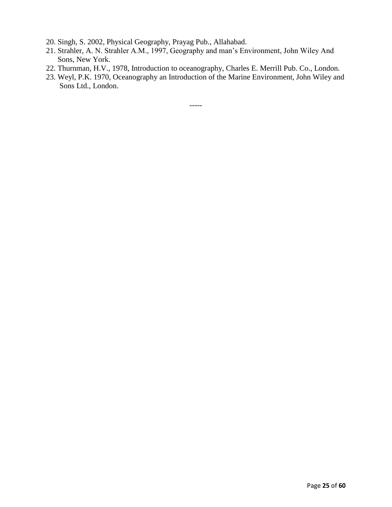- 20. Singh, S. 2002, Physical Geography, Prayag Pub., Allahabad.
- 21. Strahler, A. N. Strahler A.M., 1997, Geography and man's Environment, John Wiley And Sons, New York.
- 22. Thurnman, H.V., 1978, Introduction to oceanography, Charles E. Merrill Pub. Co., London.
- 23. Weyl, P.K. 1970, Oceanography an Introduction of the Marine Environment, John Wiley and Sons Ltd., London.

-----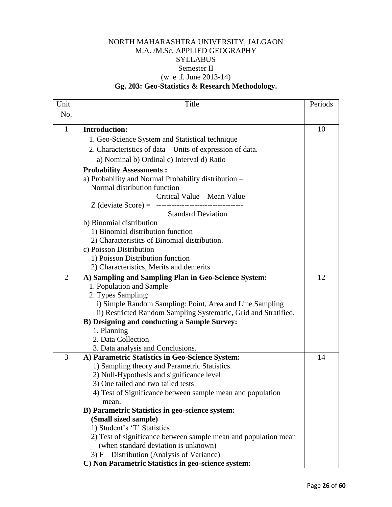## NORTH MAHARASHTRA UNIVERSITY, JALGAON M.A. /M.Sc. APPLIED GEOGRAPHY **SYLLABUS** Semester II (w. e .f. June 2013-14) **Gg. 203: Geo-Statistics & Research Methodology.**

| Unit           | Title                                                           | Periods |
|----------------|-----------------------------------------------------------------|---------|
| No.            |                                                                 |         |
|                |                                                                 |         |
| $\mathbf{1}$   | <b>Introduction:</b>                                            | 10      |
|                | 1. Geo-Science System and Statistical technique                 |         |
|                | 2. Characteristics of data – Units of expression of data.       |         |
|                | a) Nominal b) Ordinal c) Interval d) Ratio                      |         |
|                | <b>Probability Assessments:</b>                                 |         |
|                | a) Probability and Normal Probability distribution -            |         |
|                | Normal distribution function                                    |         |
|                | Critical Value - Mean Value                                     |         |
|                |                                                                 |         |
|                | <b>Standard Deviation</b>                                       |         |
|                | b) Binomial distribution                                        |         |
|                | 1) Binomial distribution function                               |         |
|                | 2) Characteristics of Binomial distribution.                    |         |
|                | c) Poisson Distribution                                         |         |
|                | 1) Poisson Distribution function                                |         |
|                | 2) Characteristics, Merits and demerits                         |         |
| $\overline{2}$ | A) Sampling and Sampling Plan in Geo-Science System:            | 12      |
|                | 1. Population and Sample                                        |         |
|                | 2. Types Sampling:                                              |         |
|                | i) Simple Random Sampling: Point, Area and Line Sampling        |         |
|                | ii) Restricted Random Sampling Systematic, Grid and Stratified. |         |
|                | <b>B)</b> Designing and conducting a Sample Survey:             |         |
|                | 1. Planning                                                     |         |
|                | 2. Data Collection                                              |         |
|                | 3. Data analysis and Conclusions.                               |         |
| 3              | A) Parametric Statistics in Geo-Science System:                 | 14      |
|                | 1) Sampling theory and Parametric Statistics.                   |         |
|                | 2) Null-Hypothesis and significance level                       |         |
|                | 3) One tailed and two tailed tests                              |         |
|                | 4) Test of Significance between sample mean and population      |         |
|                | mean.<br>B) Parametric Statistics in geo-science system:        |         |
|                | (Small sized sample)                                            |         |
|                | 1) Student's 'T' Statistics                                     |         |
|                | 2) Test of significance between sample mean and population mean |         |
|                | (when standard deviation is unknown)                            |         |
|                | 3) F – Distribution (Analysis of Variance)                      |         |
|                | C) Non Parametric Statistics in geo-science system:             |         |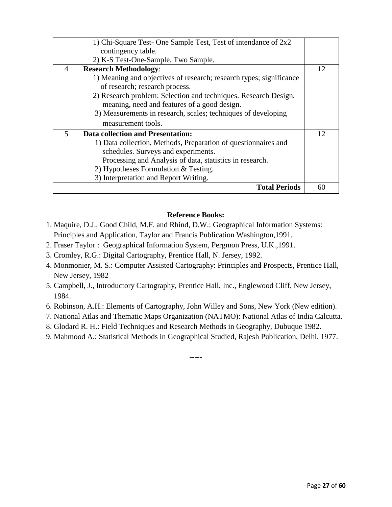|                | 1) Chi-Square Test- One Sample Test, Test of intendance of 2x2      |    |
|----------------|---------------------------------------------------------------------|----|
|                | contingency table.                                                  |    |
|                | 2) K-S Test-One-Sample, Two Sample.                                 |    |
| $\overline{4}$ | <b>Research Methodology:</b>                                        | 12 |
|                | 1) Meaning and objectives of research; research types; significance |    |
|                | of research; research process.                                      |    |
|                | 2) Research problem: Selection and techniques. Research Design,     |    |
|                | meaning, need and features of a good design.                        |    |
|                | 3) Measurements in research, scales; techniques of developing       |    |
|                | measurement tools.                                                  |    |
| $\mathfrak{S}$ | Data collection and Presentation:                                   | 12 |
|                | 1) Data collection, Methods, Preparation of questionnaires and      |    |
|                | schedules. Surveys and experiments.                                 |    |
|                | Processing and Analysis of data, statistics in research.            |    |
|                | 2) Hypotheses Formulation & Testing.                                |    |
|                | 3) Interpretation and Report Writing.                               |    |
|                | <b>Total Periods</b>                                                | 60 |

#### **Reference Books:**

- 1. Maquire, D.J., Good Child, M.F. and Rhind, D.W.: Geographical Information Systems: Principles and Application, Taylor and Francis Publication Washington,1991.
- 2. Fraser Taylor : Geographical Information System, Pergmon Press, U.K.,1991.
- 3. Cromley, R.G.: Digital Cartography, Prentice Hall, N. Jersey, 1992.
- 4. Monmonier, M. S.: Computer Assisted Cartography: Principles and Prospects, Prentice Hall, New Jersey, 1982
- 5. Campbell, J., Introductory Cartography, Prentice Hall, Inc., Englewood Cliff, New Jersey, 1984.
- 6. Robinson, A.H.: Elements of Cartography, John Willey and Sons, New York (New edition).
- 7. National Atlas and Thematic Maps Organization (NATMO): National Atlas of India Calcutta.
- 8. Glodard R. H.: Field Techniques and Research Methods in Geography, Dubuque 1982.
- 9. Mahmood A.: Statistical Methods in Geographical Studied, Rajesh Publication, Delhi, 1977.

-----

Page **27** of **60**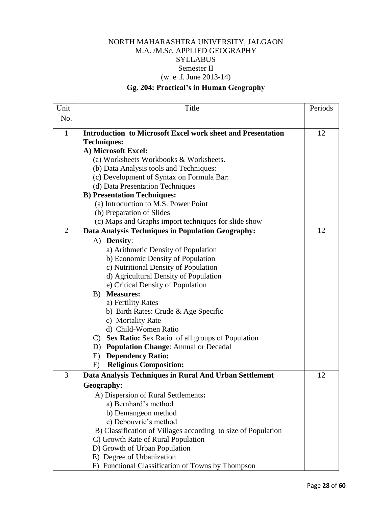## NORTH MAHARASHTRA UNIVERSITY, JALGAON M.A. /M.Sc. APPLIED GEOGRAPHY **SYLLABUS** Semester II (w. e .f. June 2013-14)

## **Gg. 204: Practical's in Human Geography**

| Unit           | Title                                                              | Periods |
|----------------|--------------------------------------------------------------------|---------|
| No.            |                                                                    |         |
| $\mathbf{1}$   | <b>Introduction to Microsoft Excel work sheet and Presentation</b> | 12      |
|                | <b>Techniques:</b>                                                 |         |
|                | A) Microsoft Excel:                                                |         |
|                | (a) Worksheets Workbooks & Worksheets.                             |         |
|                | (b) Data Analysis tools and Techniques:                            |         |
|                | (c) Development of Syntax on Formula Bar:                          |         |
|                | (d) Data Presentation Techniques                                   |         |
|                | <b>B) Presentation Techniques:</b>                                 |         |
|                | (a) Introduction to M.S. Power Point                               |         |
|                | (b) Preparation of Slides                                          |         |
|                | (c) Maps and Graphs import techniques for slide show               |         |
| $\overline{2}$ | Data Analysis Techniques in Population Geography:                  | 12      |
|                | A) Density:                                                        |         |
|                | a) Arithmetic Density of Population                                |         |
|                | b) Economic Density of Population                                  |         |
|                | c) Nutritional Density of Population                               |         |
|                | d) Agricultural Density of Population                              |         |
|                | e) Critical Density of Population                                  |         |
|                | <b>Measures:</b><br>B)                                             |         |
|                | a) Fertility Rates                                                 |         |
|                | b) Birth Rates: Crude & Age Specific                               |         |
|                | c) Mortality Rate                                                  |         |
|                | d) Child-Women Ratio                                               |         |
|                | C) Sex Ratio: Sex Ratio of all groups of Population                |         |
|                | <b>Population Change: Annual or Decadal</b><br>D)                  |         |
|                | <b>Dependency Ratio:</b><br>E)                                     |         |
|                | <b>Religious Composition:</b><br>F)                                |         |
| 3              | Data Analysis Techniques in Rural And Urban Settlement             | 12      |
|                | Geography:                                                         |         |
|                | A) Dispersion of Rural Settlements:                                |         |
|                | a) Bernhard's method                                               |         |
|                | b) Demangeon method                                                |         |
|                | c) Debouvrie's method                                              |         |
|                | B) Classification of Villages according to size of Population      |         |
|                | C) Growth Rate of Rural Population                                 |         |
|                | D) Growth of Urban Population                                      |         |
|                | E) Degree of Urbanization                                          |         |
|                | F) Functional Classification of Towns by Thompson                  |         |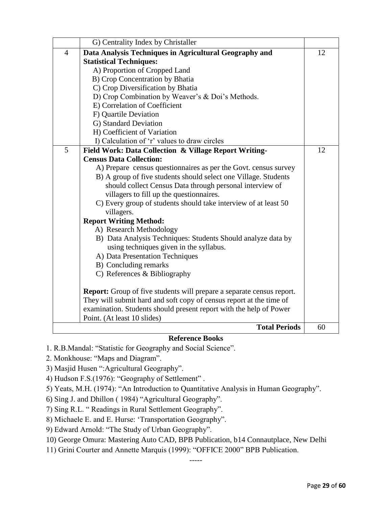|                | G) Centrality Index by Christaller                                           |    |
|----------------|------------------------------------------------------------------------------|----|
| $\overline{4}$ | Data Analysis Techniques in Agricultural Geography and                       | 12 |
|                | <b>Statistical Techniques:</b>                                               |    |
|                | A) Proportion of Cropped Land                                                |    |
|                | B) Crop Concentration by Bhatia                                              |    |
|                | C) Crop Diversification by Bhatia                                            |    |
|                | D) Crop Combination by Weaver's & Doi's Methods.                             |    |
|                | E) Correlation of Coefficient                                                |    |
|                | F) Quartile Deviation                                                        |    |
|                | G) Standard Deviation                                                        |    |
|                | H) Coefficient of Variation                                                  |    |
|                | I) Calculation of 'r' values to draw circles                                 |    |
| 5              | Field Work: Data Collection & Village Report Writing-                        | 12 |
|                | <b>Census Data Collection:</b>                                               |    |
|                | A) Prepare census questionnaires as per the Govt. census survey              |    |
|                | B) A group of five students should select one Village. Students              |    |
|                | should collect Census Data through personal interview of                     |    |
|                | villagers to fill up the question naires.                                    |    |
|                | C) Every group of students should take interview of at least 50              |    |
|                | villagers.                                                                   |    |
|                | <b>Report Writing Method:</b>                                                |    |
|                | A) Research Methodology                                                      |    |
|                | B) Data Analysis Techniques: Students Should analyze data by                 |    |
|                | using techniques given in the syllabus.                                      |    |
|                | A) Data Presentation Techniques                                              |    |
|                | B) Concluding remarks                                                        |    |
|                | C) References & Bibliography                                                 |    |
|                | <b>Report:</b> Group of five students will prepare a separate census report. |    |
|                | They will submit hard and soft copy of census report at the time of          |    |
|                | examination. Students should present report with the help of Power           |    |
|                | Point. (At least 10 slides)                                                  |    |
|                | <b>Total Periods</b>                                                         | 60 |

#### **Reference Books**

- 1. R.B.Mandal: "Statistic for Geography and Social Science".
- 2. Monkhouse: "Maps and Diagram".
- 3) Masjid Husen ":Agricultural Geography".
- 4) Hudson F.S.(1976): "Geography of Settlement" .
- 5) Yeats, M.H. (1974): "An Introduction to Quantitative Analysis in Human Geography".

6) Sing J. and Dhillon ( 1984) "Agricultural Geography".

- 7) Sing R.L. " Readings in Rural Settlement Geography".
- 8) Michaele E. and E. Hurse: 'Transportation Geography".
- 9) Edward Arnold: "The Study of Urban Geography".
- 10) George Omura: Mastering Auto CAD, BPB Publication, b14 Connautplace, New Delhi
- 11) Grini Courter and Annette Marquis (1999): "OFFICE 2000" BPB Publication.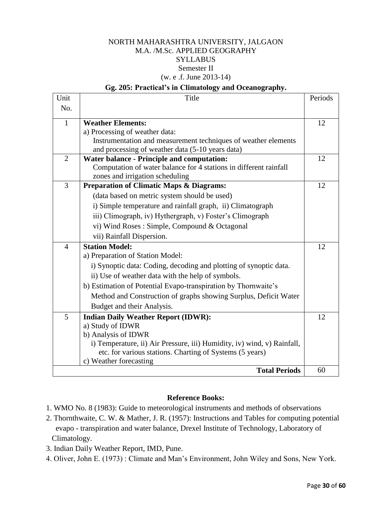## NORTH MAHARASHTRA UNIVERSITY, JALGAON M.A. /M.Sc. APPLIED GEOGRAPHY **SYLLABUS** Semester II (w. e .f. June 2013-14)

#### **Gg. 205: Practical's in Climatology and Oceanography.**

| Unit           | Title                                                                   | Periods |
|----------------|-------------------------------------------------------------------------|---------|
| No.            |                                                                         |         |
| $\mathbf{1}$   | <b>Weather Elements:</b>                                                | 12      |
|                | a) Processing of weather data:                                          |         |
|                | Instrumentation and measurement techniques of weather elements          |         |
|                | and processing of weather data (5-10 years data)                        |         |
| $\overline{2}$ | <b>Water balance - Principle and computation:</b>                       | 12      |
|                | Computation of water balance for 4 stations in different rainfall       |         |
|                | zones and irrigation scheduling                                         |         |
| 3              | <b>Preparation of Climatic Maps &amp; Diagrams:</b>                     | 12      |
|                | (data based on metric system should be used)                            |         |
|                | i) Simple temperature and rainfall graph, ii) Climatograph              |         |
|                | iii) Climograph, iv) Hythergraph, v) Foster's Climograph                |         |
|                | vi) Wind Roses: Simple, Compound & Octagonal                            |         |
|                | vii) Rainfall Dispersion.                                               |         |
| $\overline{4}$ | <b>Station Model:</b>                                                   | 12      |
|                | a) Preparation of Station Model:                                        |         |
|                | i) Synoptic data: Coding, decoding and plotting of synoptic data.       |         |
|                | ii) Use of weather data with the help of symbols.                       |         |
|                | b) Estimation of Potential Evapo-transpiration by Thornwaite's          |         |
|                | Method and Construction of graphs showing Surplus, Deficit Water        |         |
|                | Budget and their Analysis.                                              |         |
| 5              | <b>Indian Daily Weather Report (IDWR):</b>                              | 12      |
|                | a) Study of IDWR                                                        |         |
|                | b) Analysis of IDWR                                                     |         |
|                | i) Temperature, ii) Air Pressure, iii) Humidity, iv) wind, v) Rainfall, |         |
|                | etc. for various stations. Charting of Systems (5 years)                |         |
|                | c) Weather forecasting                                                  |         |
|                | <b>Total Periods</b>                                                    | 60      |

#### **Reference Books:**

- 1. WMO No. 8 (1983): Guide to meteorological instruments and methods of observations
- 2. Thornthwaite, C. W. & Mather, J. R. (1957): Instructions and Tables for computing potential evapo - transpiration and water balance, Drexel Institute of Technology, Laboratory of Climatology.
- 3. Indian Daily Weather Report, IMD, Pune.
- 4. Oliver, John E. (1973) : Climate and Man's Environment, John Wiley and Sons, New York.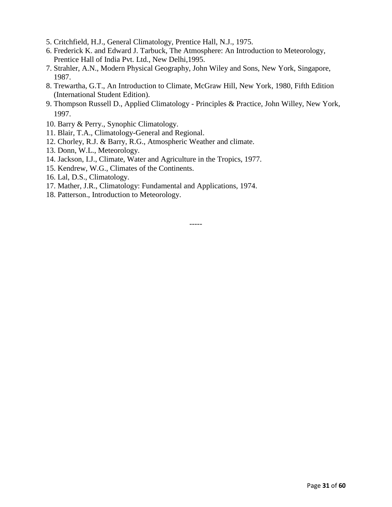- 5. Critchfield, H.J., General Climatology, Prentice Hall, N.J., 1975.
- 6. Frederick K. and Edward J. Tarbuck, The Atmosphere: An Introduction to Meteorology, Prentice Hall of India Pvt. Ltd., New Delhi,1995.
- 7. Strahler, A.N., Modern Physical Geography, John Wiley and Sons, New York, Singapore, 1987.
- 8. Trewartha, G.T., An Introduction to Climate, McGraw Hill, New York, 1980, Fifth Edition (International Student Edition).
- 9. Thompson Russell D., Applied Climatology Principles & Practice, John Willey, New York, 1997.
- 10. Barry & Perry., Synophic Climatology.
- 11. Blair, T.A., Climatology-General and Regional.
- 12. Chorley, R.J. & Barry, R.G., Atmospheric Weather and climate.
- 13. Donn, W.L., Meteorology.
- 14. Jackson, I.J., Climate, Water and Agriculture in the Tropics, 1977.
- 15. Kendrew, W.G., Climates of the Continents.
- 16. Lal, D.S., Climatology.
- 17. Mather, J.R., Climatology: Fundamental and Applications, 1974.
- 18. Patterson., Introduction to Meteorology.

-----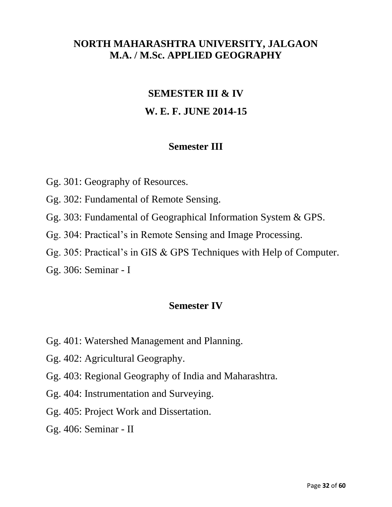# **NORTH MAHARASHTRA UNIVERSITY, JALGAON M.A. / M.Sc. APPLIED GEOGRAPHY**

## **SEMESTER III & IV**

# **W. E. F. JUNE 2014-15**

## **Semester III**

- Gg. 301: Geography of Resources.
- Gg. 302: Fundamental of Remote Sensing.
- Gg. 303: Fundamental of Geographical Information System & GPS.
- Gg. 304: Practical's in Remote Sensing and Image Processing.
- Gg. 305: Practical's in GIS & GPS Techniques with Help of Computer.
- Gg. 306: Seminar I

# **Semester IV**

- Gg. 401: Watershed Management and Planning.
- Gg. 402: Agricultural Geography.
- Gg. 403: Regional Geography of India and Maharashtra.
- Gg. 404: Instrumentation and Surveying.
- Gg. 405: Project Work and Dissertation.
- Gg. 406: Seminar II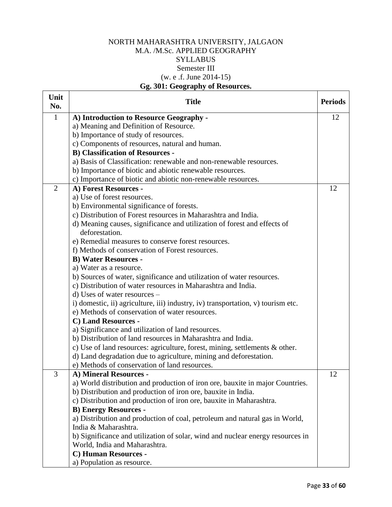## NORTH MAHARASHTRA UNIVERSITY, JALGAON M.A. /M.Sc. APPLIED GEOGRAPHY **SYLLABUS** Semester III (w. e .f. June 2014-15) **Gg. 301: Geography of Resources.**

| Unit<br>No.    | <b>Title</b>                                                                     | <b>Periods</b> |
|----------------|----------------------------------------------------------------------------------|----------------|
| $\mathbf{1}$   | A) Introduction to Resource Geography -                                          | 12             |
|                | a) Meaning and Definition of Resource.                                           |                |
|                | b) Importance of study of resources.                                             |                |
|                | c) Components of resources, natural and human.                                   |                |
|                | <b>B)</b> Classification of Resources -                                          |                |
|                | a) Basis of Classification: renewable and non-renewable resources.               |                |
|                | b) Importance of biotic and abiotic renewable resources.                         |                |
|                | c) Importance of biotic and abiotic non-renewable resources.                     |                |
| $\overline{2}$ | A) Forest Resources -                                                            | 12             |
|                | a) Use of forest resources.                                                      |                |
|                | b) Environmental significance of forests.                                        |                |
|                | c) Distribution of Forest resources in Maharashtra and India.                    |                |
|                | d) Meaning causes, significance and utilization of forest and effects of         |                |
|                | deforestation.                                                                   |                |
|                | e) Remedial measures to conserve forest resources.                               |                |
|                | f) Methods of conservation of Forest resources.                                  |                |
|                | <b>B) Water Resources -</b>                                                      |                |
|                | a) Water as a resource.                                                          |                |
|                | b) Sources of water, significance and utilization of water resources.            |                |
|                | c) Distribution of water resources in Maharashtra and India.                     |                |
|                | d) Uses of water resources –                                                     |                |
|                | i) domestic, ii) agriculture, iii) industry, iv) transportation, v) tourism etc. |                |
|                | e) Methods of conservation of water resources.                                   |                |
|                | C) Land Resources -                                                              |                |
|                | a) Significance and utilization of land resources.                               |                |
|                | b) Distribution of land resources in Maharashtra and India.                      |                |
|                | c) Use of land resources: agriculture, forest, mining, settlements $\&$ other.   |                |
|                | d) Land degradation due to agriculture, mining and deforestation.                |                |
|                | e) Methods of conservation of land resources.                                    |                |
| 3              | A) Mineral Resources -                                                           | 12             |
|                | a) World distribution and production of iron ore, bauxite in major Countries.    |                |
|                | b) Distribution and production of iron ore, bauxite in India.                    |                |
|                | c) Distribution and production of iron ore, bauxite in Maharashtra.              |                |
|                | <b>B) Energy Resources -</b>                                                     |                |
|                | a) Distribution and production of coal, petroleum and natural gas in World,      |                |
|                | India & Maharashtra.                                                             |                |
|                | b) Significance and utilization of solar, wind and nuclear energy resources in   |                |
|                | World, India and Maharashtra.                                                    |                |
|                | C) Human Resources -                                                             |                |
|                | a) Population as resource.                                                       |                |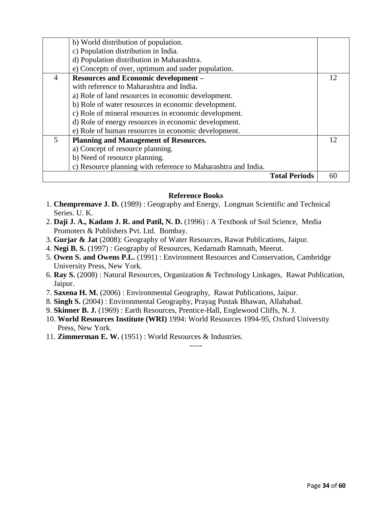|                | b) World distribution of population.                          |    |
|----------------|---------------------------------------------------------------|----|
|                | c) Population distribution in India.                          |    |
|                | d) Population distribution in Maharashtra.                    |    |
|                | e) Concepts of over, optimum and under population.            |    |
| $\overline{A}$ | <b>Resources and Economic development -</b>                   | 12 |
|                | with reference to Maharashtra and India.                      |    |
|                | a) Role of land resources in economic development.            |    |
|                | b) Role of water resources in economic development.           |    |
|                | c) Role of mineral resources in economic development.         |    |
|                | d) Role of energy resources in economic development.          |    |
|                | e) Role of human resources in economic development.           |    |
| 5              | <b>Planning and Management of Resources.</b>                  | 12 |
|                | a) Concept of resource planning.                              |    |
|                | b) Need of resource planning.                                 |    |
|                | c) Resource planning with reference to Maharashtra and India. |    |
|                | <b>Total Periods</b>                                          |    |

#### **Reference Books**

- 1. **Chempremave J. D.** (1989) : Geography and Energy, Longman Scientific and Technical Series. U. K.
- 2. **Daji J. A., Kadam J. R. and Patil, N. D.** (1996) : A Textbook of Soil Science, Media Promoters & Publishers Pvt. Ltd. Bombay.
- 3. **Gurjar & Jat** (2008): Geography of Water Resources, Rawat Publications, Jaipur.
- 4. **Negi B. S.** (1997) : Geography of Resources, Kedarnath Ramnath, Meerut.
- 5. **Owen S. and Owens P.L.** (1991) : Environment Resources and Conservation, Cambridge University Press, New York.
- 6. **Ray S.** (2008) : Natural Resources, Organization & Technology Linkages, Rawat Publication, Jaipur.
- 7. **Saxena H. M.** (2006) : Environmental Geography, Rawat Publications, Jaipur.
- 8. **Singh S.** (2004) : Environmental Geography, Prayag Pustak Bhawan, Allahabad.
- 9. **Skinner B. J.** (1969) : Earth Resources, Prentice-Hall, Englewood Cliffs, N. J.
- 10. **World Resources Institute (WRI)** 1994: World Resources 1994-95, Oxford University Press, New York.

-----

11. **Zimmerman E. W.** (1951) : World Resources & Industries.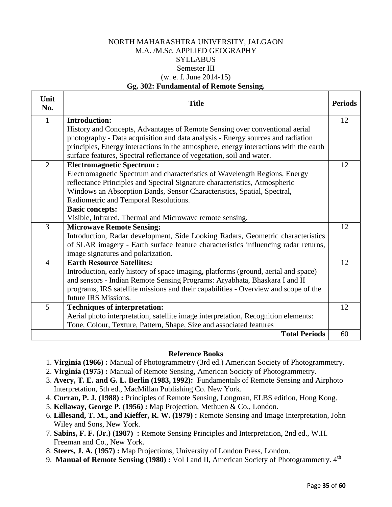#### NORTH MAHARASHTRA UNIVERSITY, JALGAON M.A. /M.Sc. APPLIED GEOGRAPHY **SYLLABUS** Semester III (w. e. f. June 2014-15) **Gg. 302: Fundamental of Remote Sensing.**

| Unit<br>No.    | <b>Title</b>                                                                          | <b>Periods</b> |
|----------------|---------------------------------------------------------------------------------------|----------------|
| 1              | <b>Introduction:</b>                                                                  | 12             |
|                | History and Concepts, Advantages of Remote Sensing over conventional aerial           |                |
|                | photography - Data acquisition and data analysis - Energy sources and radiation       |                |
|                | principles, Energy interactions in the atmosphere, energy interactions with the earth |                |
|                | surface features, Spectral reflectance of vegetation, soil and water.                 |                |
| $\overline{2}$ | <b>Electromagnetic Spectrum:</b>                                                      | 12             |
|                | Electromagnetic Spectrum and characteristics of Wavelength Regions, Energy            |                |
|                | reflectance Principles and Spectral Signature characteristics, Atmospheric            |                |
|                | Windows an Absorption Bands, Sensor Characteristics, Spatial, Spectral,               |                |
|                | Radiometric and Temporal Resolutions.                                                 |                |
|                | <b>Basic concepts:</b>                                                                |                |
|                | Visible, Infrared, Thermal and Microwave remote sensing.                              |                |
| 3              | <b>Microwave Remote Sensing:</b>                                                      | 12             |
|                | Introduction, Radar development, Side Looking Radars, Geometric characteristics       |                |
|                | of SLAR imagery - Earth surface feature characteristics influencing radar returns,    |                |
|                | image signatures and polarization.                                                    |                |
| $\overline{4}$ | <b>Earth Resource Satellites:</b>                                                     | 12             |
|                | Introduction, early history of space imaging, platforms (ground, aerial and space)    |                |
|                | and sensors - Indian Remote Sensing Programs: Aryabhata, Bhaskara I and II            |                |
|                | programs, IRS satellite missions and their capabilities - Overview and scope of the   |                |
|                | future IRS Missions.                                                                  |                |
| 5              | <b>Techniques of interpretation:</b>                                                  | 12             |
|                | Aerial photo interpretation, satellite image interpretation, Recognition elements:    |                |
|                | Tone, Colour, Texture, Pattern, Shape, Size and associated features                   |                |
|                | <b>Total Periods</b>                                                                  | 60             |

#### **Reference Books**

- 1. **Virginia (1966) :** Manual of Photogrammetry (3rd ed.) American Society of Photogrammetry.
- 2. **Virginia (1975) :** Manual of Remote Sensing, American Society of Photogrammetry.
- 3. **Avery, T. E. and G. L. Berlin (1983, 1992):** Fundamentals of Remote Sensing and Airphoto Interpretation, 5th ed., MacMillan Publishing Co. New York.
- 4. **Curran, P. J. (1988) :** Principles of Remote Sensing, Longman, ELBS edition, Hong Kong.
- 5. **Kellaway, George P. (1956) :** Map Projection, Methuen & Co., London.
- 6. **Lillesand, T. M., and Kieffer, R. W. (1979) :** Remote Sensing and Image Interpretation, John Wiley and Sons, New York.
- 7. **Sabins, F. F. (Jr.) (1987) :** Remote Sensing Principles and Interpretation, 2nd ed., W.H. Freeman and Co., New York.
- 8. **Steers, J. A. (1957) :** Map Projections, University of London Press, London.
- 9. **Manual of Remote Sensing (1980) :** Vol I and II, American Society of Photogrammetry. 4<sup>th</sup>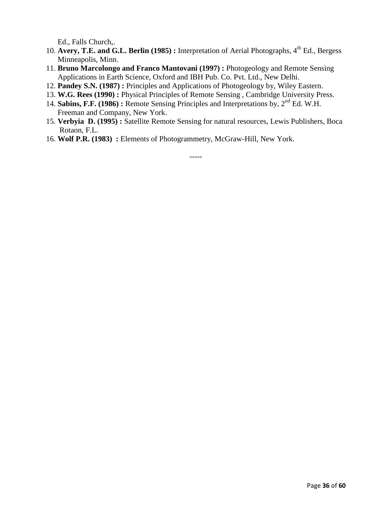Ed., Falls Church,.

- 10. Avery, T.E. and G.L. Berlin (1985) : Interpretation of Aerial Photographs, 4<sup>th</sup> Ed., Bergess Minneapolis, Minn.
- 11. **Bruno Marcolongo and Franco Mantovani (1997) :** Photogeology and Remote Sensing Applications in Earth Science, Oxford and IBH Pub. Co. Pvt. Ltd., New Delhi.
- 12. **Pandey S.N. (1987) :** Principles and Applications of Photogeology by, Wiley Eastern.
- 13. **W.G. Rees (1990) :** Physical Principles of Remote Sensing , Cambridge University Press.
- 14. **Sabins, F.F. (1986) :** Remote Sensing Principles and Interpretations by, 2nd Ed. W.H. Freeman and Company, New York.
- 15. **Verbyia D. (1995) :** Satellite Remote Sensing for natural resources, Lewis Publishers, Boca Rotaon, F.L.
- 16. **Wolf P.R. (1983) :** Elements of Photogrammetry, McGraw-Hill, New York.

-----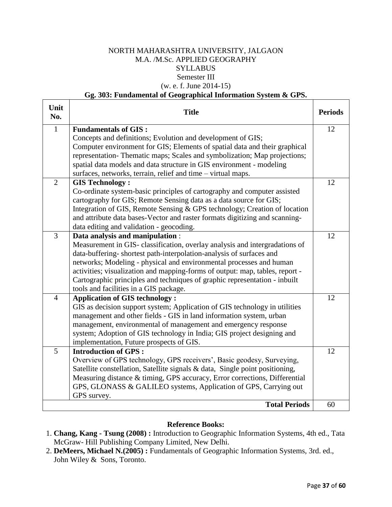#### NORTH MAHARASHTRA UNIVERSITY, JALGAON M.A. /M.Sc. APPLIED GEOGRAPHY SYLLABUS Semester III (w. e. f. June 2014-15)

#### **Gg. 303: Fundamental of Geographical Information System & GPS.**

| Unit<br>No.    | <b>Title</b>                                                                                                                                               | <b>Periods</b> |
|----------------|------------------------------------------------------------------------------------------------------------------------------------------------------------|----------------|
| $\mathbf{1}$   | <b>Fundamentals of GIS:</b>                                                                                                                                | 12             |
|                | Concepts and definitions; Evolution and development of GIS;                                                                                                |                |
|                | Computer environment for GIS; Elements of spatial data and their graphical                                                                                 |                |
|                | representation-Thematic maps; Scales and symbolization; Map projections;                                                                                   |                |
|                | spatial data models and data structure in GIS environment - modeling                                                                                       |                |
|                | surfaces, networks, terrain, relief and time – virtual maps.                                                                                               |                |
| $\overline{2}$ | <b>GIS Technology:</b>                                                                                                                                     | 12             |
|                | Co-ordinate system-basic principles of cartography and computer assisted                                                                                   |                |
|                | cartography for GIS; Remote Sensing data as a data source for GIS;                                                                                         |                |
|                | Integration of GIS, Remote Sensing & GPS technology; Creation of location                                                                                  |                |
|                | and attribute data bases-Vector and raster formats digitizing and scanning-                                                                                |                |
|                | data editing and validation - geocoding.                                                                                                                   |                |
| $\overline{3}$ | Data analysis and manipulation :                                                                                                                           | 12             |
|                | Measurement in GIS-classification, overlay analysis and intergradations of                                                                                 |                |
|                | data-buffering-shortest path-interpolation-analysis of surfaces and                                                                                        |                |
|                | networks; Modeling - physical and environmental processes and human                                                                                        |                |
|                | activities; visualization and mapping-forms of output: map, tables, report -<br>Cartographic principles and techniques of graphic representation - inbuilt |                |
|                | tools and facilities in a GIS package.                                                                                                                     |                |
| $\overline{4}$ | <b>Application of GIS technology:</b>                                                                                                                      | 12             |
|                | GIS as decision support system; Application of GIS technology in utilities                                                                                 |                |
|                | management and other fields - GIS in land information system, urban                                                                                        |                |
|                | management, environmental of management and emergency response                                                                                             |                |
|                | system; Adoption of GIS technology in India; GIS project designing and                                                                                     |                |
|                | implementation, Future prospects of GIS.                                                                                                                   |                |
| 5              | <b>Introduction of GPS:</b>                                                                                                                                | 12             |
|                | Overview of GPS technology, GPS receivers', Basic geodesy, Surveying,                                                                                      |                |
|                | Satellite constellation, Satellite signals & data, Single point positioning,                                                                               |                |
|                | Measuring distance & timing, GPS accuracy, Error corrections, Differential                                                                                 |                |
|                | GPS, GLONASS & GALILEO systems, Application of GPS, Carrying out                                                                                           |                |
|                | GPS survey.                                                                                                                                                |                |
|                | <b>Total Periods</b>                                                                                                                                       | 60             |

#### **Reference Books:**

- 1. **Chang, Kang - Tsung (2008) :** Introduction to Geographic Information Systems, 4th ed., Tata McGraw- Hill Publishing Company Limited, New Delhi.
- 2. **DeMeers, Michael N.(2005) :** Fundamentals of Geographic Information Systems, 3rd. ed., John Wiley & Sons, Toronto.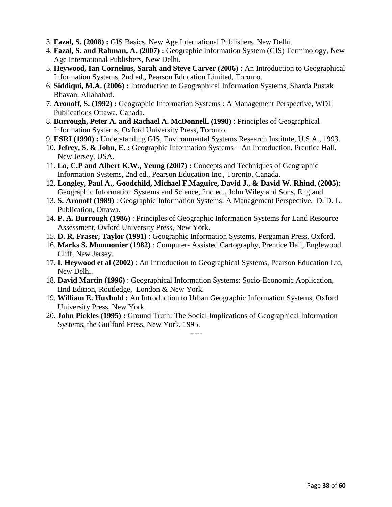- 3. **Fazal, S. (2008) :** GIS Basics, New Age International Publishers, New Delhi.
- 4. **Fazal, S. and Rahman, A. (2007) :** Geographic Information System (GIS) Terminology, New Age International Publishers, New Delhi.
- 5. **Heywood, Ian Cornelius, Sarah and Steve Carver (2006) :** An Introduction to Geographical Information Systems, 2nd ed., Pearson Education Limited, Toronto.
- 6. **Siddiqui, M.A. (2006) :** Introduction to Geographical Information Systems, Sharda Pustak Bhavan, Allahabad.
- 7. **Aronoff, S. (1992) :** Geographic Information Systems : A Management Perspective, WDL Publications Ottawa, Canada.
- 8. **Burrough, Peter A. and Rachael A. McDonnell. (1998)** : Principles of Geographical Information Systems, Oxford University Press, Toronto.
- 9. **ESRI (1990) :** Understanding GIS, Environmental Systems Research Institute, U.S.A., 1993.
- 10**. Jefrey, S. & John, E. :** Geographic Information Systems An Introduction, Prentice Hall, New Jersey, USA.
- 11. **Lo, C.P and Albert K.W., Yeung (2007) :** Concepts and Techniques of Geographic Information Systems, 2nd ed., Pearson Education Inc., Toronto, Canada.
- 12. **Longley, Paul A., Goodchild, Michael F.Maguire, David J., & David W. Rhind. (2005):** Geographic Information Systems and Science, 2nd ed., John Wiley and Sons, England.
- 13. **S. Aronoff (1989)** : Geographic Information Systems: A Management Perspective, D. D. L. Publication, Ottawa.
- 14. **P. A. Burrough (1986)** : Principles of Geographic Information Systems for Land Resource Assessment, Oxford University Press, New York.
- 15. **D. R. Fraser, Taylor (1991)** : Geographic Information Systems, Pergaman Press, Oxford.
- 16. **Marks S. Monmonier (1982)** : Computer- Assisted Cartography, Prentice Hall, Englewood Cliff, New Jersey.
- 17. **I. Heywood et al (2002)** : An Introduction to Geographical Systems, Pearson Education Ltd, New Delhi.
- 18. **David Martin (1996)** : Geographical Information Systems: Socio-Economic Application, IInd Edition, Routledge, London & New York.
- 19. **William E. Huxhold :** An Introduction to Urban Geographic Information Systems, Oxford University Press, New York.
- 20. **John Pickles (1995) :** Ground Truth: The Social Implications of Geographical Information Systems, the Guilford Press, New York, 1995.

-----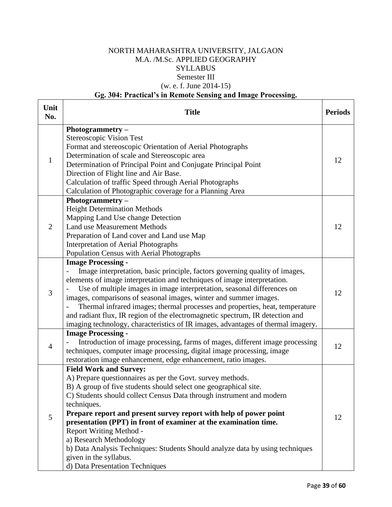## NORTH MAHARASHTRA UNIVERSITY, JALGAON M.A. /M.Sc. APPLIED GEOGRAPHY **SYLLABUS** Semester III (w. e. f. June 2014-15)

## **Gg. 304: Practical's in Remote Sensing and Image Processing.**

| Unit<br>No.    | <b>Title</b>                                                                                                                                                                                                                                                                                                                                                                                                                                                                                                                                                                                        | <b>Periods</b> |
|----------------|-----------------------------------------------------------------------------------------------------------------------------------------------------------------------------------------------------------------------------------------------------------------------------------------------------------------------------------------------------------------------------------------------------------------------------------------------------------------------------------------------------------------------------------------------------------------------------------------------------|----------------|
|                | Photogrammetry -<br>Stereoscopic Vision Test<br>Format and stereoscopic Orientation of Aerial Photographs<br>Determination of scale and Stereoscopic area                                                                                                                                                                                                                                                                                                                                                                                                                                           |                |
| $\mathbf{1}$   | Determination of Principal Point and Conjugate Principal Point<br>Direction of Flight line and Air Base.<br>Calculation of traffic Speed through Aerial Photographs<br>Calculation of Photographic coverage for a Planning Area                                                                                                                                                                                                                                                                                                                                                                     | 12             |
| $\overline{2}$ | Photogrammetry $-$<br><b>Height Determination Methods</b><br>Mapping Land Use change Detection<br><b>Land use Measurement Methods</b><br>Preparation of Land cover and Land use Map<br><b>Interpretation of Aerial Photographs</b><br>Population Census with Aerial Photographs                                                                                                                                                                                                                                                                                                                     | 12             |
| 3              | <b>Image Processing -</b><br>Image interpretation, basic principle, factors governing quality of images,<br>elements of image interpretation and techniques of image interpretation.<br>Use of multiple images in image interpretation, seasonal differences on<br>images, comparisons of seasonal images, winter and summer images.<br>Thermal infrared images; thermal processes and properties, heat, temperature<br>and radiant flux, IR region of the electromagnetic spectrum, IR detection and<br>imaging technology, characteristics of IR images, advantages of thermal imagery.           | 12             |
| $\overline{4}$ | <b>Image Processing -</b><br>Introduction of image processing, farms of mages, different image processing<br>techniques, computer image processing, digital image processing, image<br>restoration image enhancement, edge enhancement, ratio images.                                                                                                                                                                                                                                                                                                                                               | 12             |
| 5              | <b>Field Work and Survey:</b><br>A) Prepare questionnaires as per the Govt. survey methods.<br>B) A group of five students should select one geographical site.<br>C) Students should collect Census Data through instrument and modern<br>techniques.<br>Prepare report and present survey report with help of power point<br>presentation (PPT) in front of examiner at the examination time.<br>Report Writing Method -<br>a) Research Methodology<br>b) Data Analysis Techniques: Students Should analyze data by using techniques<br>given in the syllabus.<br>d) Data Presentation Techniques | 12             |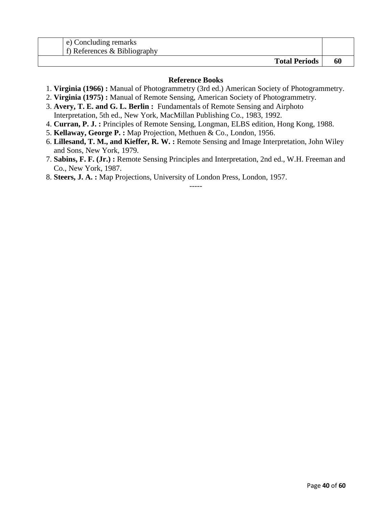| e) Concluding remarks<br>$\pm$ f) References & Bibliography |  |
|-------------------------------------------------------------|--|
| <b>Total Periods</b>                                        |  |

#### **Reference Books**

- 1. **Virginia (1966) :** Manual of Photogrammetry (3rd ed.) American Society of Photogrammetry.
- 2. **Virginia (1975) :** Manual of Remote Sensing, American Society of Photogrammetry.
- 3. **Avery, T. E. and G. L. Berlin :** Fundamentals of Remote Sensing and Airphoto Interpretation, 5th ed., New York, MacMillan Publishing Co., 1983, 1992.
- 4. **Curran, P. J. :** Principles of Remote Sensing, Longman, ELBS edition, Hong Kong, 1988.
- 5. **Kellaway, George P. :** Map Projection, Methuen & Co., London, 1956.
- 6. **Lillesand, T. M., and Kieffer, R. W. :** Remote Sensing and Image Interpretation, John Wiley and Sons, New York, 1979.
- 7. **Sabins, F. F. (Jr.) :** Remote Sensing Principles and Interpretation, 2nd ed., W.H. Freeman and Co., New York, 1987.

-----

8. **Steers, J. A. :** Map Projections, University of London Press, London, 1957.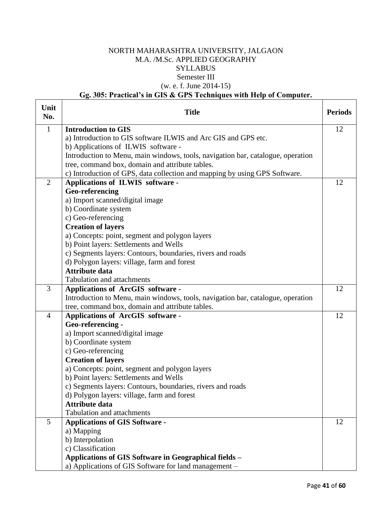## NORTH MAHARASHTRA UNIVERSITY, JALGAON M.A. /M.Sc. APPLIED GEOGRAPHY **SYLLABUS** Semester III (w. e. f. June 2014-15)

## **Gg. 305: Practical's in GIS & GPS Techniques with Help of Computer.**

| Unit<br>No.    | <b>Title</b>                                                                    | <b>Periods</b> |
|----------------|---------------------------------------------------------------------------------|----------------|
| $\mathbf{1}$   | <b>Introduction to GIS</b>                                                      | 12             |
|                | a) Introduction to GIS software ILWIS and Arc GIS and GPS etc.                  |                |
|                | b) Applications of ILWIS software -                                             |                |
|                | Introduction to Menu, main windows, tools, navigation bar, catalogue, operation |                |
|                | tree, command box, domain and attribute tables.                                 |                |
|                | c) Introduction of GPS, data collection and mapping by using GPS Software.      |                |
| $\overline{2}$ | Applications of ILWIS software -                                                | 12             |
|                | Geo-referencing                                                                 |                |
|                | a) Import scanned/digital image                                                 |                |
|                | b) Coordinate system                                                            |                |
|                | c) Geo-referencing                                                              |                |
|                | <b>Creation of layers</b>                                                       |                |
|                | a) Concepts: point, segment and polygon layers                                  |                |
|                | b) Point layers: Settlements and Wells                                          |                |
|                | c) Segments layers: Contours, boundaries, rivers and roads                      |                |
|                | d) Polygon layers: village, farm and forest<br><b>Attribute data</b>            |                |
|                | <b>Tabulation and attachments</b>                                               |                |
| 3              | <b>Applications of ArcGIS software -</b>                                        | 12             |
|                | Introduction to Menu, main windows, tools, navigation bar, catalogue, operation |                |
|                | tree, command box, domain and attribute tables.                                 |                |
| $\overline{4}$ | Applications of ArcGIS software -                                               | 12             |
|                | Geo-referencing -                                                               |                |
|                | a) Import scanned/digital image                                                 |                |
|                | b) Coordinate system                                                            |                |
|                | c) Geo-referencing                                                              |                |
|                | <b>Creation of layers</b>                                                       |                |
|                | a) Concepts: point, segment and polygon layers                                  |                |
|                | b) Point layers: Settlements and Wells                                          |                |
|                | c) Segments layers: Contours, boundaries, rivers and roads                      |                |
|                | d) Polygon layers: village, farm and forest                                     |                |
|                | <b>Attribute data</b>                                                           |                |
|                | <b>Tabulation and attachments</b>                                               |                |
| 5              | <b>Applications of GIS Software -</b>                                           | 12             |
|                | a) Mapping                                                                      |                |
|                | b) Interpolation                                                                |                |
|                | c) Classification                                                               |                |
|                | Applications of GIS Software in Geographical fields -                           |                |
|                | a) Applications of GIS Software for land management –                           |                |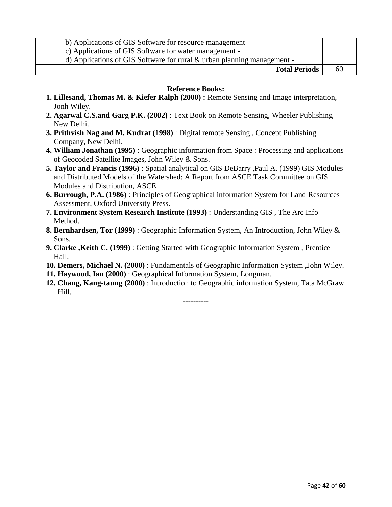| b) Applications of GIS Software for resource management –                  |    |
|----------------------------------------------------------------------------|----|
| c) Applications of GIS Software for water management -                     |    |
| d) Applications of GIS Software for rural $\&$ urban planning management - |    |
| <b>Total Periods</b>                                                       | 60 |

#### **Reference Books:**

- **1. Lillesand, Thomas M. & Kiefer Ralph (2000) :** Remote Sensing and Image interpretation, Jonh Wiley.
- **2. Agarwal C.S.and Garg P.K. (2002)** : Text Book on Remote Sensing, Wheeler Publishing New Delhi.
- **3. Prithvish Nag and M. Kudrat (1998)** : Digital remote Sensing , Concept Publishing Company, New Delhi.
- **4. William Jonathan (1995)** : Geographic information from Space : Processing and applications of Geocoded Satellite Images, John Wiley & Sons.
- **5. Taylor and Francis (1996)** : Spatial analytical on GIS DeBarry ,Paul A. (1999) GIS Modules and Distributed Models of the Watershed: A Report from ASCE Task Committee on GIS Modules and Distribution, ASCE.
- **6. Burrough, P.A. (1986)** : Principles of Geographical information System for Land Resources Assessment, Oxford University Press.
- **7. Environment System Research Institute (1993)** : Understanding GIS , The Arc Info Method.
- **8. Bernhardsen, Tor (1999)** : Geographic Information System, An Introduction, John Wiley & Sons.
- **9. Clarke ,Keith C. (1999)** : Getting Started with Geographic Information System , Prentice Hall.
- **10. Demers, Michael N. (2000)** : Fundamentals of Geographic Information System ,John Wiley.
- **11. Haywood, Ian (2000)** : Geographical Information System, Longman.
- **12. Chang, Kang-taung (2000)** : Introduction to Geographic information System, Tata McGraw Hill.

----------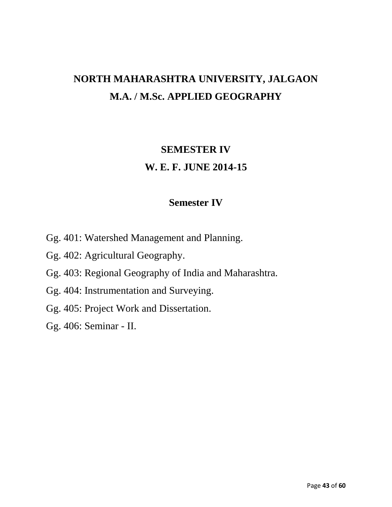# **NORTH MAHARASHTRA UNIVERSITY, JALGAON M.A. / M.Sc. APPLIED GEOGRAPHY**

# **SEMESTER IV W. E. F. JUNE 2014-15**

## **Semester IV**

- Gg. 401: Watershed Management and Planning.
- Gg. 402: Agricultural Geography.
- Gg. 403: Regional Geography of India and Maharashtra.
- Gg. 404: Instrumentation and Surveying.
- Gg. 405: Project Work and Dissertation.
- Gg. 406: Seminar II.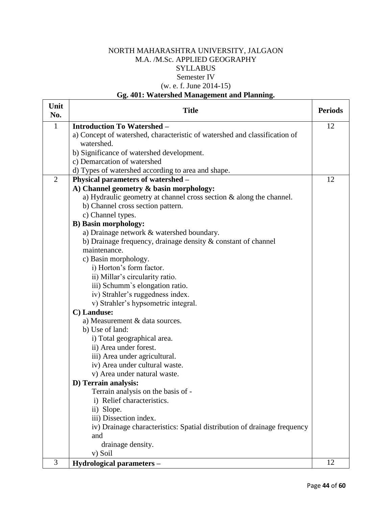## NORTH MAHARASHTRA UNIVERSITY, JALGAON M.A. /M.Sc. APPLIED GEOGRAPHY **SYLLABUS** Semester IV (w. e. f. June 2014-15)

## **Gg. 401: Watershed Management and Planning.**

| Unit<br>No.    | <b>Title</b>                                                               | <b>Periods</b> |
|----------------|----------------------------------------------------------------------------|----------------|
| $\mathbf{1}$   | <b>Introduction To Watershed -</b>                                         | 12             |
|                | a) Concept of watershed, characteristic of watershed and classification of |                |
|                | watershed.                                                                 |                |
|                | b) Significance of watershed development.                                  |                |
|                | c) Demarcation of watershed                                                |                |
|                | d) Types of watershed according to area and shape.                         |                |
| $\overline{2}$ | Physical parameters of watershed -                                         | 12             |
|                | A) Channel geometry & basin morphology:                                    |                |
|                | a) Hydraulic geometry at channel cross section & along the channel.        |                |
|                | b) Channel cross section pattern.                                          |                |
|                | c) Channel types.                                                          |                |
|                | <b>B)</b> Basin morphology:                                                |                |
|                | a) Drainage network & watershed boundary.                                  |                |
|                | b) Drainage frequency, drainage density $\&$ constant of channel           |                |
|                | maintenance.                                                               |                |
|                | c) Basin morphology.                                                       |                |
|                | i) Horton's form factor.                                                   |                |
|                | ii) Millar's circularity ratio.                                            |                |
|                | iii) Schumm's elongation ratio.                                            |                |
|                | iv) Strahler's ruggedness index.                                           |                |
|                | v) Strahler's hypsometric integral.                                        |                |
|                | C) Landuse:                                                                |                |
|                | a) Measurement & data sources.                                             |                |
|                | b) Use of land:                                                            |                |
|                | i) Total geographical area.                                                |                |
|                | ii) Area under forest.                                                     |                |
|                | iii) Area under agricultural.                                              |                |
|                | iv) Area under cultural waste.                                             |                |
|                | v) Area under natural waste.                                               |                |
|                | D) Terrain analysis:<br>Terrain analysis on the basis of -                 |                |
|                | i) Relief characteristics.                                                 |                |
|                | ii) Slope.                                                                 |                |
|                | iii) Dissection index.                                                     |                |
|                | iv) Drainage characteristics: Spatial distribution of drainage frequency   |                |
|                | and                                                                        |                |
|                | drainage density.                                                          |                |
|                | v) Soil                                                                    |                |
| 3              | Hydrological parameters -                                                  | 12             |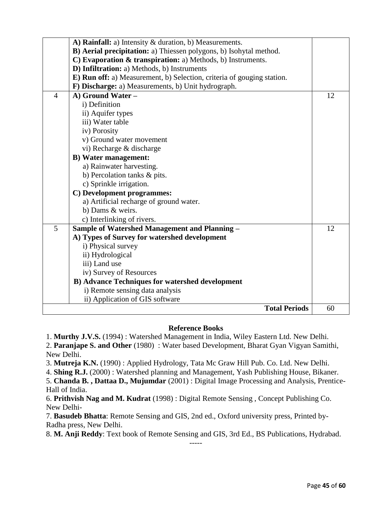| A) Rainfall: a) Intensity & duration, b) Measurements.                 |    |
|------------------------------------------------------------------------|----|
| B) Aerial precipitation: a) Thiessen polygons, b) Isohytal method.     |    |
| C) Evaporation & transpiration: a) Methods, b) Instruments.            |    |
| D) Infiltration: a) Methods, b) Instruments                            |    |
| E) Run off: a) Measurement, b) Selection, criteria of gouging station. |    |
| F) Discharge: a) Measurements, b) Unit hydrograph.                     |    |
| $\overline{4}$<br>A) Ground Water -                                    | 12 |
| i) Definition                                                          |    |
| ii) Aquifer types                                                      |    |
| iii) Water table                                                       |    |
| iv) Porosity                                                           |    |
| v) Ground water movement                                               |    |
| vi) Recharge & discharge                                               |    |
| <b>B)</b> Water management:                                            |    |
| a) Rainwater harvesting.                                               |    |
| b) Percolation tanks & pits.                                           |    |
| c) Sprinkle irrigation.                                                |    |
| C) Development programmes:                                             |    |
| a) Artificial recharge of ground water.                                |    |
| b) Dams & weirs.                                                       |    |
| c) Interlinking of rivers.                                             |    |
| 5<br><b>Sample of Watershed Management and Planning -</b>              | 12 |
| A) Types of Survey for watershed development                           |    |
| i) Physical survey                                                     |    |
| ii) Hydrological                                                       |    |
| iii) Land use                                                          |    |
| iv) Survey of Resources                                                |    |
| <b>B) Advance Techniques for watershed development</b>                 |    |
| i) Remote sensing data analysis                                        |    |
| ii) Application of GIS software                                        |    |
| <b>Total Periods</b>                                                   | 60 |

#### **Reference Books**

1. **Murthy J.V.S.** (1994) : Watershed Management in India, Wiley Eastern Ltd. New Delhi. 2. **Paranjape S. and Other** (1980) : Water based Development, Bharat Gyan Vigyan Samithi,

New Delhi.

3. **Mutreja K.N.** (1990) : Applied Hydrology, Tata Mc Graw Hill Pub. Co. Ltd. New Delhi.

4. **Shing R.J.** (2000) : Watershed planning and Management, Yash Publishing House, Bikaner.

5. **Chanda B. , Dattaa D., Mujumdar** (2001) : Digital Image Processing and Analysis, Prentice-Hall of India.

6. **Prithvish Nag and M. Kudrat** (1998) : Digital Remote Sensing , Concept Publishing Co. New Delhi-

7. **Basudeb Bhatta**: Remote Sensing and GIS, 2nd ed., Oxford university press, Printed by-Radha press, New Delhi.

8. **M. Anji Reddy**: Text book of Remote Sensing and GIS, 3rd Ed., BS Publications, Hydrabad. -----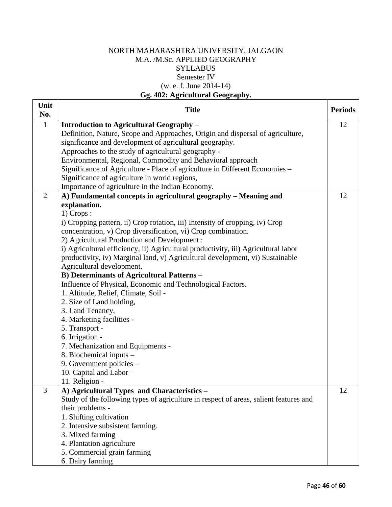## NORTH MAHARASHTRA UNIVERSITY, JALGAON M.A. /M.Sc. APPLIED GEOGRAPHY **SYLLABUS** Semester IV (w. e. f. June 2014-14) **Gg. 402: Agricultural Geography.**

| Unit<br>No.    | <b>Title</b>                                                                          | <b>Periods</b> |
|----------------|---------------------------------------------------------------------------------------|----------------|
| $\mathbf{1}$   | Introduction to Agricultural Geography -                                              | 12             |
|                | Definition, Nature, Scope and Approaches, Origin and dispersal of agriculture,        |                |
|                | significance and development of agricultural geography.                               |                |
|                | Approaches to the study of agricultural geography -                                   |                |
|                | Environmental, Regional, Commodity and Behavioral approach                            |                |
|                | Significance of Agriculture - Place of agriculture in Different Economies -           |                |
|                | Significance of agriculture in world regions,                                         |                |
|                | Importance of agriculture in the Indian Economy.                                      |                |
| $\overline{2}$ | A) Fundamental concepts in agricultural geography – Meaning and                       | 12             |
|                | explanation.                                                                          |                |
|                | $1)$ Crops :                                                                          |                |
|                | i) Cropping pattern, ii) Crop rotation, iii) Intensity of cropping, iv) Crop          |                |
|                | concentration, v) Crop diversification, vi) Crop combination.                         |                |
|                | 2) Agricultural Production and Development:                                           |                |
|                | i) Agricultural efficiency, ii) Agricultural productivity, iii) Agricultural labor    |                |
|                | productivity, iv) Marginal land, v) Agricultural development, vi) Sustainable         |                |
|                | Agricultural development.                                                             |                |
|                | <b>B)</b> Determinants of Agricultural Patterns -                                     |                |
|                | Influence of Physical, Economic and Technological Factors.                            |                |
|                | 1. Altitude, Relief, Climate, Soil -                                                  |                |
|                | 2. Size of Land holding,                                                              |                |
|                | 3. Land Tenancy,                                                                      |                |
|                | 4. Marketing facilities -                                                             |                |
|                | 5. Transport -                                                                        |                |
|                | 6. Irrigation -                                                                       |                |
|                | 7. Mechanization and Equipments -                                                     |                |
|                | 8. Biochemical inputs -                                                               |                |
|                | 9. Government policies -                                                              |                |
|                | 10. Capital and Labor -                                                               |                |
|                | 11. Religion -                                                                        |                |
| 3              | A) Agricultural Types and Characteristics -                                           | 12             |
|                | Study of the following types of agriculture in respect of areas, salient features and |                |
|                | their problems -                                                                      |                |
|                | 1. Shifting cultivation                                                               |                |
|                | 2. Intensive subsistent farming.                                                      |                |
|                | 3. Mixed farming                                                                      |                |
|                | 4. Plantation agriculture                                                             |                |
|                | 5. Commercial grain farming                                                           |                |
|                | 6. Dairy farming                                                                      |                |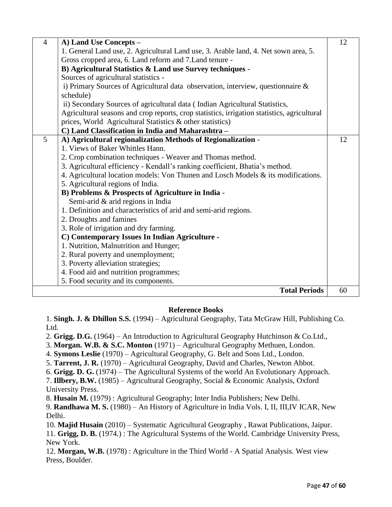| $\overline{4}$ | A) Land Use Concepts -                                                                      | 12 |
|----------------|---------------------------------------------------------------------------------------------|----|
|                | 1. General Land use, 2. Agricultural Land use, 3. Arable land, 4. Net sown area, 5.         |    |
|                | Gross cropped area, 6. Land reform and 7. Land tenure -                                     |    |
|                | B) Agricultural Statistics & Land use Survey techniques -                                   |    |
|                | Sources of agricultural statistics -                                                        |    |
|                | i) Primary Sources of Agricultural data observation, interview, questionnaire $\&$          |    |
|                | schedule)                                                                                   |    |
|                | ii) Secondary Sources of agricultural data (Indian Agricultural Statistics,                 |    |
|                | Agricultural seasons and crop reports, crop statistics, irrigation statistics, agricultural |    |
|                | prices, World Agricultural Statistics & other statistics)                                   |    |
|                | C) Land Classification in India and Maharashtra -                                           |    |
| 5              | A) Agricultural regionalization Methods of Regionalization -                                | 12 |
|                | 1. Views of Baker Whittles Hann.                                                            |    |
|                | 2. Crop combination techniques - Weaver and Thomas method.                                  |    |
|                | 3. Agricultural efficiency - Kendall's ranking coefficient, Bhatia's method.                |    |
|                | 4. Agricultural location models: Von Thunen and Losch Models $\&$ its modifications.        |    |
|                | 5. Agricultural regions of India.                                                           |    |
|                | B) Problems & Prospects of Agriculture in India -                                           |    |
|                | Semi-arid & arid regions in India                                                           |    |
|                | 1. Definition and characteristics of arid and semi-arid regions.                            |    |
|                | 2. Droughts and famines                                                                     |    |
|                | 3. Role of irrigation and dry farming.                                                      |    |
|                | C) Contemporary Issues In Indian Agriculture -                                              |    |
|                | 1. Nutrition, Malnutrition and Hunger;                                                      |    |
|                | 2. Rural poverty and unemployment;                                                          |    |
|                | 3. Poverty alleviation strategies;                                                          |    |
|                | 4. Food aid and nutrition programmes;                                                       |    |
|                | 5. Food security and its components.                                                        |    |
|                | <b>Total Periods</b>                                                                        | 60 |
|                |                                                                                             |    |

## **Reference Books**

1. **Singh. J. & Dhillon S.S.** (1994) – Agricultural Geography, Tata McGraw Hill, Publishing Co. Ltd.

2. **Grigg. D.G.** (1964) – An Introduction to Agricultural Geography Hutchinson & Co.Ltd.,

- 3. **Morgan. W.B. & S.C. Monton** (1971) Agricultural Geography Methuen, London.
- 4. **Symons Leslie** (1970) Agricultural Geography, G. Belt and Sons Ltd., London.
- 5. **Tarrent, J. R.** (1970) Agricultural Geography, David and Charles, Newton Abbot.
- 6. **Grigg. D. G.** (1974) The Agricultural Systems of the world An Evolutionary Approach.

7. **Illbery, B.W.** (1985) – Agricultural Geography, Social & Economic Analysis, Oxford University Press.

8. **Husain M.** (1979) : Agricultural Geography; Inter India Publishers; New Delhi.

9. **Randhawa M. S.** (1980) – An History of Agriculture in India Vols. I, II, III,IV ICAR, New Delhi.

10. **Majid Husain** (2010) – Systematic Agricultural Geography , Rawat Publications, Jaipur. 11. **Grigg, D. B.** (1974.) : The Agricultural Systems of the World. Cambridge University Press, New York.

12. **Morgan, W.B.** (1978) : Agriculture in the Third World - A Spatial Analysis. West view Press, Boulder.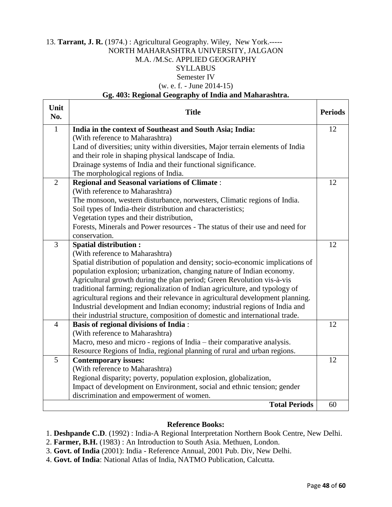#### 13. **Tarrant, J. R.** (1974.) : Agricultural Geography. Wiley, New York.----- NORTH MAHARASHTRA UNIVERSITY, JALGAON M.A. /M.Sc. APPLIED GEOGRAPHY SYLLABUS Semester IV (w. e. f. - June 2014-15)

#### **Gg. 403: Regional Geography of India and Maharashtra.**

| Unit<br>No.    | <b>Title</b>                                                                                                                                                  | <b>Periods</b> |
|----------------|---------------------------------------------------------------------------------------------------------------------------------------------------------------|----------------|
| $\mathbf{1}$   | India in the context of Southeast and South Asia; India:                                                                                                      | 12             |
|                | (With reference to Maharashtra)                                                                                                                               |                |
|                | Land of diversities; unity within diversities, Major terrain elements of India                                                                                |                |
|                | and their role in shaping physical landscape of India.                                                                                                        |                |
|                | Drainage systems of India and their functional significance.                                                                                                  |                |
|                | The morphological regions of India.                                                                                                                           |                |
| $\overline{2}$ | <b>Regional and Seasonal variations of Climate:</b>                                                                                                           | 12             |
|                | (With reference to Maharashtra)                                                                                                                               |                |
|                | The monsoon, western disturbance, norwesters, Climatic regions of India.                                                                                      |                |
|                | Soil types of India-their distribution and characteristics;                                                                                                   |                |
|                | Vegetation types and their distribution,                                                                                                                      |                |
|                | Forests, Minerals and Power resources - The status of their use and need for                                                                                  |                |
|                | conservation.                                                                                                                                                 |                |
| $\overline{3}$ | <b>Spatial distribution:</b>                                                                                                                                  | 12             |
|                | (With reference to Maharashtra)                                                                                                                               |                |
|                | Spatial distribution of population and density; socio-economic implications of                                                                                |                |
|                | population explosion; urbanization, changing nature of Indian economy.                                                                                        |                |
|                | Agricultural growth during the plan period; Green Revolution vis-à-vis                                                                                        |                |
|                | traditional farming; regionalization of Indian agriculture, and typology of<br>agricultural regions and their relevance in agricultural development planning. |                |
|                | Industrial development and Indian economy; industrial regions of India and                                                                                    |                |
|                | their industrial structure, composition of domestic and international trade.                                                                                  |                |
| $\overline{4}$ | <b>Basis of regional divisions of India:</b>                                                                                                                  | 12             |
|                | (With reference to Maharashtra)                                                                                                                               |                |
|                | Macro, meso and micro - regions of India – their comparative analysis.                                                                                        |                |
|                | Resource Regions of India, regional planning of rural and urban regions.                                                                                      |                |
| 5              | <b>Contemporary issues:</b>                                                                                                                                   | 12             |
|                | (With reference to Maharashtra)                                                                                                                               |                |
|                | Regional disparity; poverty, population explosion, globalization,                                                                                             |                |
|                | Impact of development on Environment, social and ethnic tension; gender                                                                                       |                |
|                | discrimination and empowerment of women.                                                                                                                      |                |
|                | <b>Total Periods</b>                                                                                                                                          | 60             |

#### **Reference Books:**

1. **Deshpande C.D**. (1992) : India-A Regional Interpretation Northern Book Centre, New Delhi.

- 2. **Farmer, B.H.** (1983) : An Introduction to South Asia. Methuen, London.
- 3. **Govt. of India** (2001): India Reference Annual, 2001 Pub. Div, New Delhi.
- 4. **Govt. of India**: National Atlas of India, NATMO Publication, Calcutta.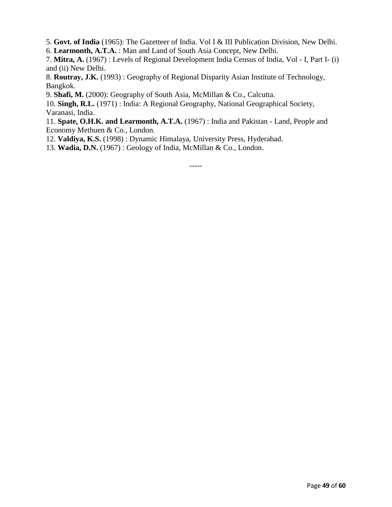5. **Govt. of India** (1965): The Gazetteer of India. Vol I & III Publication Division, New Delhi.

6. **Learmonth, A.T.A.** : Man and Land of South Asia Concept, New Delhi.

7. **Mitra, A.** (1967) : Levels of Regional Development India Census of India, Vol - I, Part I- (i) and (ii) New Delhi.

8. **Routray, J.K.** (1993) : Geography of Regional Disparity Asian Institute of Technology, Bangkok.

9. **Shafi, M.** (2000): Geography of South Asia, McMillan & Co., Calcutta.

10. **Singh, R.L.** (1971) : India: A Regional Geography, National Geographical Society, Varanasi, India.

11. **Spate, O.H.K. and Learmonth, A.T.A.** (1967) : India and Pakistan - Land, People and Economy Methuen & Co., London.

12. **Valdiya, K.S.** (1998) : Dynamic Himalaya, University Press, Hyderabad.

13. **Wadia, D.N.** (1967) : Geology of India, McMillan & Co., London.

-----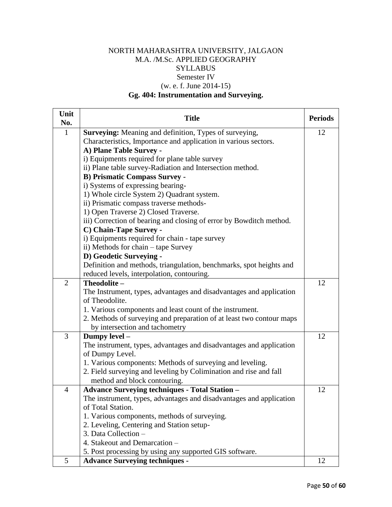## NORTH MAHARASHTRA UNIVERSITY, JALGAON M.A. /M.Sc. APPLIED GEOGRAPHY **SYLLABUS** Semester IV (w. e. f. June 2014-15)

## **Gg. 404: Instrumentation and Surveying.**

| Unit<br>No.    | <b>Title</b>                                                         | <b>Periods</b> |
|----------------|----------------------------------------------------------------------|----------------|
| $\mathbf{1}$   | Surveying: Meaning and definition, Types of surveying,               | 12             |
|                | Characteristics, Importance and application in various sectors.      |                |
|                | A) Plane Table Survey -                                              |                |
|                | i) Equipments required for plane table survey                        |                |
|                | ii) Plane table survey-Radiation and Intersection method.            |                |
|                | <b>B) Prismatic Compass Survey -</b>                                 |                |
|                | i) Systems of expressing bearing-                                    |                |
|                | 1) Whole circle System 2) Quadrant system.                           |                |
|                | ii) Prismatic compass traverse methods-                              |                |
|                | 1) Open Traverse 2) Closed Traverse.                                 |                |
|                | iii) Correction of bearing and closing of error by Bowditch method.  |                |
|                | C) Chain-Tape Survey -                                               |                |
|                | i) Equipments required for chain - tape survey                       |                |
|                | ii) Methods for chain – tape Survey                                  |                |
|                | D) Geodetic Surveying -                                              |                |
|                | Definition and methods, triangulation, benchmarks, spot heights and  |                |
|                | reduced levels, interpolation, contouring.                           |                |
| $\overline{2}$ | Theodolite-                                                          | 12             |
|                | The Instrument, types, advantages and disadvantages and application  |                |
|                | of Theodolite.                                                       |                |
|                | 1. Various components and least count of the instrument.             |                |
|                | 2. Methods of surveying and preparation of at least two contour maps |                |
|                | by intersection and tachometry                                       |                |
| 3              | Dumpy level -                                                        | 12             |
|                | The instrument, types, advantages and disadvantages and application  |                |
|                | of Dumpy Level.                                                      |                |
|                | 1. Various components: Methods of surveying and leveling.            |                |
|                | 2. Field surveying and leveling by Colimination and rise and fall    |                |
|                | method and block contouring.                                         |                |
| $\overline{4}$ | Advance Surveying techniques - Total Station -                       | 12             |
|                | The instrument, types, advantages and disadvantages and application  |                |
|                | of Total Station.                                                    |                |
|                | 1. Various components, methods of surveying.                         |                |
|                | 2. Leveling, Centering and Station setup-                            |                |
|                | 3. Data Collection -                                                 |                |
|                | 4. Stakeout and Demarcation -                                        |                |
|                | 5. Post processing by using any supported GIS software.              |                |
| 5              | <b>Advance Surveying techniques -</b>                                | 12             |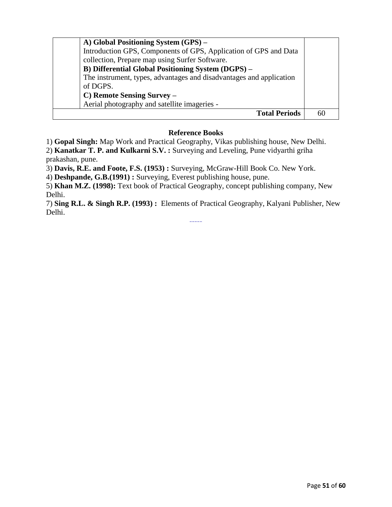| A) Global Positioning System (GPS) –<br>Introduction GPS, Components of GPS, Application of GPS and Data<br>collection, Prepare map using Surfer Software.<br>B) Differential Global Positioning System (DGPS) -<br>The instrument, types, advantages and disadvantages and application<br>of DGPS.<br>C) Remote Sensing Survey –<br>Aerial photography and satellite imageries - |    |
|-----------------------------------------------------------------------------------------------------------------------------------------------------------------------------------------------------------------------------------------------------------------------------------------------------------------------------------------------------------------------------------|----|
| <b>Total Periods</b>                                                                                                                                                                                                                                                                                                                                                              | 60 |

#### **Reference Books**

1) **Gopal Singh:** Map Work and Practical Geography, Vikas publishing house, New Delhi.

2) **Kanatkar T. P. and Kulkarni S.V. :** Surveying and Leveling, Pune vidyarthi griha prakashan, pune.

3) **Davis, R.E. and Foote, F.S. (1953) :** Surveying, McGraw-Hill Book Co. New York.

4) **Deshpande, G.B.(1991) :** Surveying, Everest publishing house, pune.

5) **Khan M.Z. (1998):** Text book of Practical Geography, concept publishing company, New Delhi.

7) **Sing R.L. & Singh R.P. (1993) :** Elements of Practical Geography, Kalyani Publisher, New Delhi.

-----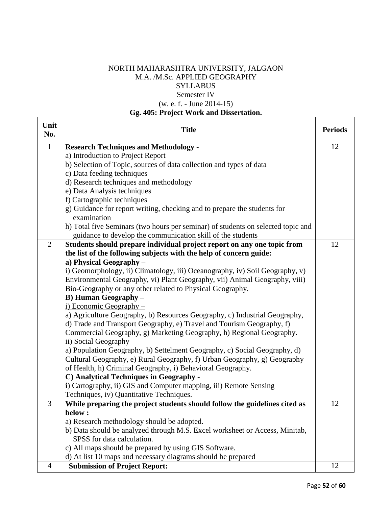## NORTH MAHARASHTRA UNIVERSITY, JALGAON M.A. /M.Sc. APPLIED GEOGRAPHY **SYLLABUS** Semester IV (w. e. f. - June 2014-15)

## **Gg. 405: Project Work and Dissertation.**

 $\Gamma$ 

 $\top$ 

| Unit<br>No.    | <b>Title</b>                                                                                                                                          | <b>Periods</b> |
|----------------|-------------------------------------------------------------------------------------------------------------------------------------------------------|----------------|
| $\mathbf{1}$   | <b>Research Techniques and Methodology -</b>                                                                                                          | 12             |
|                | a) Introduction to Project Report                                                                                                                     |                |
|                | b) Selection of Topic, sources of data collection and types of data                                                                                   |                |
|                | c) Data feeding techniques                                                                                                                            |                |
|                | d) Research techniques and methodology                                                                                                                |                |
|                | e) Data Analysis techniques                                                                                                                           |                |
|                | f) Cartographic techniques                                                                                                                            |                |
|                | g) Guidance for report writing, checking and to prepare the students for                                                                              |                |
|                | examination                                                                                                                                           |                |
|                | h) Total five Seminars (two hours per seminar) of students on selected topic and                                                                      |                |
|                | guidance to develop the communication skill of the students                                                                                           |                |
| $\overline{2}$ | Students should prepare individual project report on any one topic from                                                                               | 12             |
|                | the list of the following subjects with the help of concern guide:                                                                                    |                |
|                | a) Physical Geography -                                                                                                                               |                |
|                | i) Geomorphology, ii) Climatology, iii) Oceanography, iv) Soil Geography, v)                                                                          |                |
|                | Environmental Geography, vi) Plant Geography, vii) Animal Geography, viii)                                                                            |                |
|                | Bio-Geography or any other related to Physical Geography.                                                                                             |                |
|                | <b>B)</b> Human Geography –                                                                                                                           |                |
|                | <u>i) Economic Geography –</u>                                                                                                                        |                |
|                | a) Agriculture Geography, b) Resources Geography, c) Industrial Geography,                                                                            |                |
|                | d) Trade and Transport Geography, e) Travel and Tourism Geography, f)                                                                                 |                |
|                | Commercial Geography, g) Marketing Geography, h) Regional Geography.                                                                                  |                |
|                | $\overline{ii}$ ) Social Geography –                                                                                                                  |                |
|                | a) Population Geography, b) Settelment Geography, c) Social Geography, d)<br>Cultural Geography, e) Rural Geography, f) Urban Geography, g) Geography |                |
|                | of Health, h) Criminal Geography, i) Behavioral Geography.                                                                                            |                |
|                | C) Analytical Techniques in Geography -                                                                                                               |                |
|                | i) Cartography, ii) GIS and Computer mapping, iii) Remote Sensing                                                                                     |                |
|                | Techniques, iv) Quantitative Techniques.                                                                                                              |                |
| 3              | While preparing the project students should follow the guidelines cited as                                                                            | 12             |
|                | below:                                                                                                                                                |                |
|                | a) Research methodology should be adopted.                                                                                                            |                |
|                | b) Data should be analyzed through M.S. Excel worksheet or Access, Minitab,                                                                           |                |
|                | SPSS for data calculation.                                                                                                                            |                |
|                | c) All maps should be prepared by using GIS Software.                                                                                                 |                |
|                | d) At list 10 maps and necessary diagrams should be prepared                                                                                          |                |
| $\overline{4}$ | <b>Submission of Project Report:</b>                                                                                                                  | 12             |

 $\top$ 

٦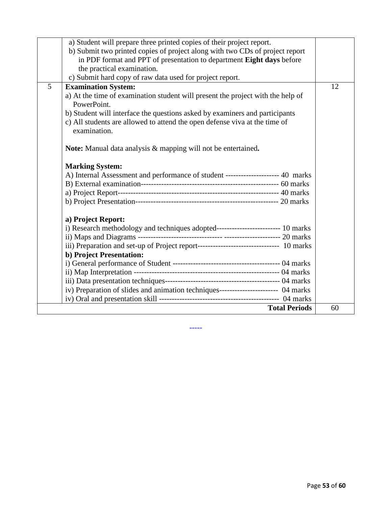|   | a) Student will prepare three printed copies of their project report.<br>b) Submit two printed copies of project along with two CDs of project report |    |
|---|-------------------------------------------------------------------------------------------------------------------------------------------------------|----|
|   | in PDF format and PPT of presentation to department Eight days before                                                                                 |    |
|   | the practical examination.                                                                                                                            |    |
|   | c) Submit hard copy of raw data used for project report.                                                                                              |    |
| 5 | <b>Examination System:</b>                                                                                                                            | 12 |
|   | a) At the time of examination student will present the project with the help of<br>PowerPoint.                                                        |    |
|   | b) Student will interface the questions asked by examiners and participants                                                                           |    |
|   | c) All students are allowed to attend the open defense viva at the time of                                                                            |    |
|   | examination.                                                                                                                                          |    |
|   | <b>Note:</b> Manual data analysis & mapping will not be entertained.                                                                                  |    |
|   | <b>Marking System:</b>                                                                                                                                |    |
|   | A) Internal Assessment and performance of student --------------------- 40 marks                                                                      |    |
|   |                                                                                                                                                       |    |
|   |                                                                                                                                                       |    |
|   |                                                                                                                                                       |    |
|   | a) Project Report:                                                                                                                                    |    |
|   | i) Research methodology and techniques adopted-------------------------- 10 marks                                                                     |    |
|   |                                                                                                                                                       |    |
|   | iii) Preparation and set-up of Project report---------------------------------- 10 marks                                                              |    |
|   | <b>b) Project Presentation:</b>                                                                                                                       |    |
|   |                                                                                                                                                       |    |
|   |                                                                                                                                                       |    |
|   |                                                                                                                                                       |    |
|   | iv) Preparation of slides and animation techniques----------------------- 04 marks                                                                    |    |
|   |                                                                                                                                                       | 60 |
|   | <b>Total Periods</b>                                                                                                                                  |    |

-----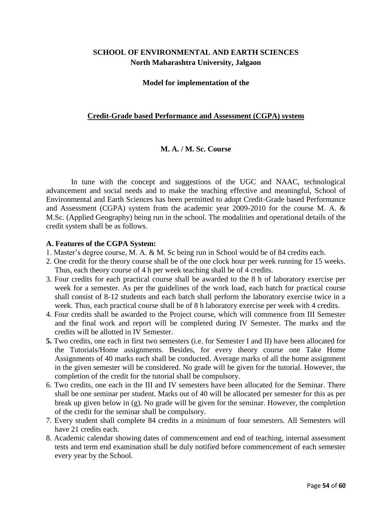## **SCHOOL OF ENVIRONMENTAL AND EARTH SCIENCES North Maharashtra University, Jalgaon**

#### **Model for implementation of the**

#### **Credit-Grade based Performance and Assessment (CGPA) system**

#### **M. A. / M. Sc. Course**

In tune with the concept and suggestions of the UGC and NAAC, technological advancement and social needs and to make the teaching effective and meaningful, School of Environmental and Earth Sciences has been permitted to adopt Credit-Grade based Performance and Assessment (CGPA) system from the academic year 2009-2010 for the course M. A. & M.Sc. (Applied Geography) being run in the school. The modalities and operational details of the credit system shall be as follows.

#### **A. Features of the CGPA System:**

- 1. Master's degree course, M. A. & M. Sc being run in School would be of 84 credits each.
- 2. One credit for the theory course shall be of the one clock hour per week running for 15 weeks. Thus, each theory course of 4 h per week teaching shall be of 4 credits.
- 3. Four credits for each practical course shall be awarded to the 8 h of laboratory exercise per week for a semester. As per the guidelines of the work load, each batch for practical course shall consist of 8-12 students and each batch shall perform the laboratory exercise twice in a week. Thus, each practical course shall be of 8 h laboratory exercise per week with 4 credits.
- 4. Four credits shall be awarded to the Project course, which will commence from III Semester and the final work and report will be completed during IV Semester. The marks and the credits will be allotted in IV Semester.
- **5.** Two credits, one each in first two semesters (i.e. for Semester I and II) have been allocated for the Tutorials/Home assignments. Besides, for every theory course one Take Home Assignments of 40 marks each shall be conducted. Average marks of all the home assignment in the given semester will be considered. No grade will be given for the tutorial. However, the completion of the credit for the tutorial shall be compulsory.
- 6. Two credits, one each in the III and IV semesters have been allocated for the Seminar. There shall be one seminar per student. Marks out of 40 will be allocated per semester for this as per break up given below in (g). No grade will be given for the seminar. However, the completion of the credit for the seminar shall be compulsory.
- 7. Every student shall complete 84 credits in a minimum of four semesters. All Semesters will have 21 credits each.
- 8. Academic calendar showing dates of commencement and end of teaching, internal assessment tests and term end examination shall be duly notified before commencement of each semester every year by the School.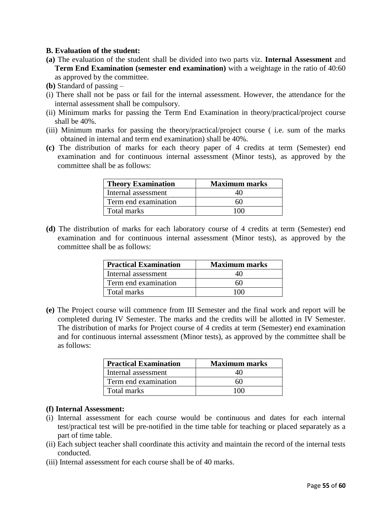#### **B. Evaluation of the student:**

- **(a)** The evaluation of the student shall be divided into two parts viz. **Internal Assessment** and **Term End Examination (semester end examination)** with a weightage in the ratio of 40:60 as approved by the committee.
- **(b)** Standard of passing –
- (i) There shall not be pass or fail for the internal assessment. However, the attendance for the internal assessment shall be compulsory.
- (ii) Minimum marks for passing the Term End Examination in theory/practical/project course shall be 40%.
- (iii) Minimum marks for passing the theory/practical/project course ( i.e. sum of the marks obtained in internal and term end examination) shall be 40%.
- **(c)** The distribution of marks for each theory paper of 4 credits at term (Semester) end examination and for continuous internal assessment (Minor tests), as approved by the committee shall be as follows:

| <b>Theory Examination</b> | <b>Maximum marks</b> |
|---------------------------|----------------------|
| Internal assessment       |                      |
| Term end examination      | 60                   |
| Total marks               |                      |

**(d)** The distribution of marks for each laboratory course of 4 credits at term (Semester) end examination and for continuous internal assessment (Minor tests), as approved by the committee shall be as follows:

| <b>Practical Examination</b> | <b>Maximum marks</b> |
|------------------------------|----------------------|
| Internal assessment          | 40                   |
| Term end examination         | 60                   |
| Total marks                  | 100                  |

**(e)** The Project course will commence from III Semester and the final work and report will be completed during IV Semester. The marks and the credits will be allotted in IV Semester. The distribution of marks for Project course of 4 credits at term (Semester) end examination and for continuous internal assessment (Minor tests), as approved by the committee shall be as follows:

| <b>Practical Examination</b> | <b>Maximum marks</b> |  |
|------------------------------|----------------------|--|
| Internal assessment          |                      |  |
| Term end examination         | 60                   |  |
| Total marks                  | 1 ( ) ( )            |  |

#### **(f) Internal Assessment:**

- (i) Internal assessment for each course would be continuous and dates for each internal test/practical test will be pre-notified in the time table for teaching or placed separately as a part of time table.
- (ii) Each subject teacher shall coordinate this activity and maintain the record of the internal tests conducted.
- (iii) Internal assessment for each course shall be of 40 marks.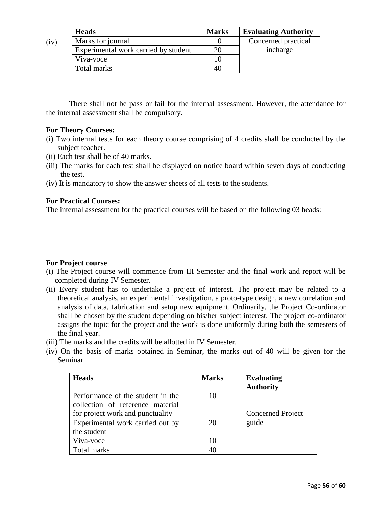|      | <b>Heads</b>                         | <b>Marks</b> | <b>Evaluating Authority</b> |
|------|--------------------------------------|--------------|-----------------------------|
| (iv) | Marks for journal                    |              | Concerned practical         |
|      | Experimental work carried by student | 20           | incharge                    |
|      | Viva-voce                            |              |                             |
|      | Total marks                          | 40           |                             |

There shall not be pass or fail for the internal assessment. However, the attendance for the internal assessment shall be compulsory.

#### **For Theory Courses:**

- (i) Two internal tests for each theory course comprising of 4 credits shall be conducted by the subject teacher.
- (ii) Each test shall be of 40 marks.
- (iii) The marks for each test shall be displayed on notice board within seven days of conducting the test.
- (iv) It is mandatory to show the answer sheets of all tests to the students.

#### **For Practical Courses:**

The internal assessment for the practical courses will be based on the following 03 heads:

## **For Project course**

- (i) The Project course will commence from III Semester and the final work and report will be completed during IV Semester.
- (ii) Every student has to undertake a project of interest. The project may be related to a theoretical analysis, an experimental investigation, a proto-type design, a new correlation and analysis of data, fabrication and setup new equipment. Ordinarily, the Project Co-ordinator shall be chosen by the student depending on his/her subject interest. The project co-ordinator assigns the topic for the project and the work is done uniformly during both the semesters of the final year.
- (iii) The marks and the credits will be allotted in IV Semester.
- (iv) On the basis of marks obtained in Seminar, the marks out of 40 will be given for the Seminar.

| <b>Heads</b>                      | <b>Marks</b> | <b>Evaluating</b>        |
|-----------------------------------|--------------|--------------------------|
|                                   |              | <b>Authority</b>         |
| Performance of the student in the |              |                          |
| collection of reference material  |              |                          |
| for project work and punctuality  |              | <b>Concerned Project</b> |
| Experimental work carried out by  | 20           | guide                    |
| the student                       |              |                          |
| Viva-voce                         |              |                          |
| Total marks                       |              |                          |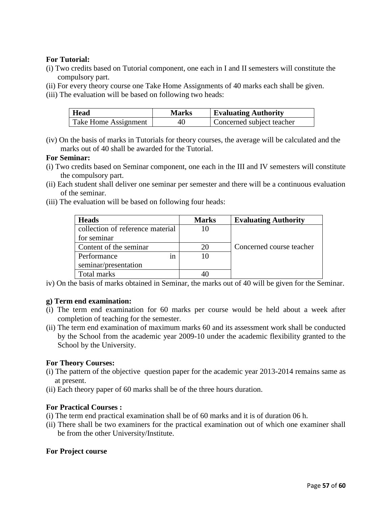#### **For Tutorial:**

- (i) Two credits based on Tutorial component, one each in I and II semesters will constitute the compulsory part.
- (ii) For every theory course one Take Home Assignments of 40 marks each shall be given.
- (iii) The evaluation will be based on following two heads:

| <b>Head</b>          | <b>Marks</b> | <b>Evaluating Authority</b> |
|----------------------|--------------|-----------------------------|
| Take Home Assignment | 40           | Concerned subject teacher   |

(iv) On the basis of marks in Tutorials for theory courses, the average will be calculated and the marks out of 40 shall be awarded for the Tutorial.

#### **For Seminar:**

- (i) Two credits based on Seminar component, one each in the III and IV semesters will constitute the compulsory part.
- (ii) Each student shall deliver one seminar per semester and there will be a continuous evaluation of the seminar.
- (iii) The evaluation will be based on following four heads:

| <b>Heads</b>                     | <b>Marks</b> | <b>Evaluating Authority</b> |
|----------------------------------|--------------|-----------------------------|
| collection of reference material |              |                             |
| for seminar                      |              |                             |
| Content of the seminar           |              | Concerned course teacher    |
| Performance<br>ın                |              |                             |
| seminar/presentation             |              |                             |
| Total marks                      |              |                             |

iv) On the basis of marks obtained in Seminar, the marks out of 40 will be given for the Seminar.

#### **g) Term end examination:**

- (i) The term end examination for 60 marks per course would be held about a week after completion of teaching for the semester.
- (ii) The term end examination of maximum marks 60 and its assessment work shall be conducted by the School from the academic year 2009-10 under the academic flexibility granted to the School by the University.

#### **For Theory Courses:**

- (i) The pattern of the objective question paper for the academic year 2013-2014 remains same as at present.
- (ii) Each theory paper of 60 marks shall be of the three hours duration.

#### **For Practical Courses :**

- (i) The term end practical examination shall be of 60 marks and it is of duration 06 h.
- (ii) There shall be two examiners for the practical examination out of which one examiner shall be from the other University/Institute.

#### **For Project course**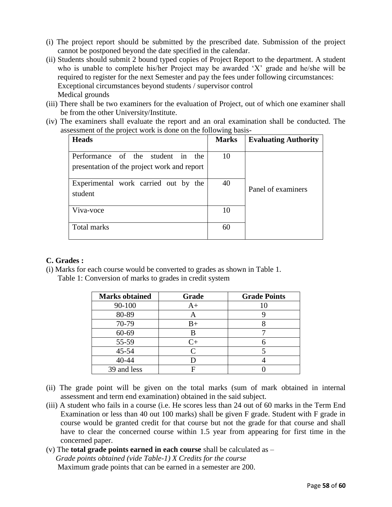- (i) The project report should be submitted by the prescribed date. Submission of the project cannot be postponed beyond the date specified in the calendar.
- (ii) Students should submit 2 bound typed copies of Project Report to the department. A student who is unable to complete his/her Project may be awarded 'X' grade and he/she will be required to register for the next Semester and pay the fees under following circumstances: Exceptional circumstances beyond students / supervisor control Medical grounds
- (iii) There shall be two examiners for the evaluation of Project, out of which one examiner shall be from the other University/Institute.
- (iv) The examiners shall evaluate the report and an oral examination shall be conducted. The assessment of the project work is done on the following basis-

| <b>Heads</b>                                                                     | <b>Marks</b> | <b>Evaluating Authority</b> |
|----------------------------------------------------------------------------------|--------------|-----------------------------|
| Performance of the student in the<br>presentation of the project work and report | 10           |                             |
| Experimental work carried out by the<br>student                                  | 40           | Panel of examiners          |
| Viva-voce                                                                        | 10           |                             |
| Total marks                                                                      | 60           |                             |

#### **C. Grades :**

(i) Marks for each course would be converted to grades as shown in Table 1.

Table 1: Conversion of marks to grades in credit system

| <b>Marks obtained</b> | Grade   | <b>Grade Points</b> |
|-----------------------|---------|---------------------|
| 90-100                | $A+$    | 10                  |
| 80-89                 | A       |                     |
| 70-79                 | $B+$    |                     |
| 60-69                 | R       |                     |
| 55-59                 | $C_{+}$ |                     |
| $45 - 54$             |         |                     |
| 40-44                 |         |                     |
| 39 and less           |         |                     |

- (ii) The grade point will be given on the total marks (sum of mark obtained in internal assessment and term end examination) obtained in the said subject.
- (iii) A student who fails in a course (i.e. He scores less than 24 out of 60 marks in the Term End Examination or less than 40 out 100 marks) shall be given F grade. Student with F grade in course would be granted credit for that course but not the grade for that course and shall have to clear the concerned course within 1.5 year from appearing for first time in the concerned paper.
- (v) The **total grade points earned in each course** shall be calculated as –

 *Grade points obtained (vide Table-1) X Credits for the course*  Maximum grade points that can be earned in a semester are 200.